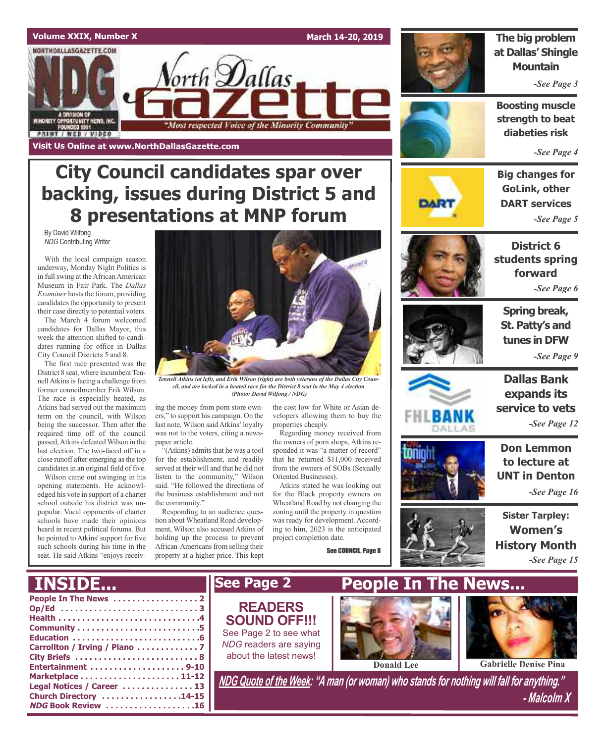

### **City Council candidates spar over backing, issues during District 5 and 8 presentations at MNP forum**

By David Wilfong *NDG* Contributing Writer

With the local campaign season underway, Monday Night Politics is in full swing at the African American Museum in Fair Park. The *Dallas Examiner* hosts the forum, providing candidates the opportunity to present their case directly to potential voters.

The March 4 forum welcomed candidates for Dallas Mayor, this week the attention shifted to candidates running for office in Dallas City Council Districts 5 and 8.

The first race presented was the District 8 seat, where incumbent Tennell Atkins is facing a challenge from former councilmember Erik Wilson. The race is especially heated, as Atkins had served out the maximum term on the council, with Wilson being the successor. Then after the required time off of the council passed,Atkins defeated Wilson in the last election. The two-faced off in a close runoff after emerging asthe top candidates in an original field of five.

Wilson came out swinging in his opening statements. He acknowledged his vote in support of a charter school outside his district was unpopular. Vocal opponents of charter schools have made their opinions heard in recent political forums. But he pointed to Atkins' support for five such schools during his time in the seat. He said Atkins "enjoys receiv-



*Tennell Atkins (at left), and Erik Wilson (right) are both veterans of the Dallas City Council, and are locked in a heated race for the District 8 seat in the May 4 election (Photo: David Wilfong / NDG)*

ing the money from porn store owners," to support his campaign. On the last note, Wilson said Atkins'loyalty was not to the voters, citing a newspaper article.

 $``(Atkins)$  admits that he was a tool for the establishment, and readily served at their will and that he did not listen to the community," Wilson said. "He followed the directions of the business establishment and not the community."

Responding to an audience question about Wheatland Road development, Wilson also accused Atkins of holding up the process to prevent African-Americans from selling their property at a higher price. This kept

the cost low for White or Asian developers allowing them to buy the properties cheaply.

Regarding money received from the owners of porn shops, Atkins responded it was "a matter of record" that he returned \$11,000 received from the owners of SOBs (Sexually Oriented Businesses).

Atkins stated he was looking out for the Black property owners on Wheatland Road by not changing the zoning until the property in question was ready for development. According to him, 2023 is the anticipated project completion date.

See COUNCIL, Page 8



#### **The big problem at Dallas' Shingle Mountain**

*-See Page 3*

**Boosting muscle strength to beat diabeties risk**

*-See Page 4*



**Big changes for GoLink, other DART services** *-See Page 5*





**Spring break, St. Patty's and tunes in DFW** *-See Page 9*



**Dallas Bank expands its service to vets** *-See Page 12*

DNION



**Sister Tarpley: Women's History Month** *-See Page 15*

#### **People In The News . . . . . . . . . . . . . . . . . . 2 Op/Ed . . . . . . . . . . . . . . . . . . . . . . . . . . . . . 3 Health . . . . . . . . . . . . . . . . . . . . . . . . . . . . . .4 Community . . . . . . . . . . . . . . . . . . . . . . . . . .5 Education . . . . . . . . . . . . . . . . . . . . . . . . . . .6 Carrollton / Irving / Plano . . . . . . . . . . . . . 7 City Briefs . . . . . . . . . . . . . . . . . . . . . . . . . . 8 Entertainment . . . . . . . . . . . . . . . . . . . . 9-10 Marketplace . . . . . . . . . . . . . . . . . . . . . 11-12 Legal Notices / Career . . . . . . . . . . . . . . . 13 Church Directory . . . . . . . . . . . . . . . . .14-15 NDG Book Review . . . . . . . . . . . . . . . . . . .16** *NDG Quote of the Week: "A man (or woman) who stands for nothing will fall for anything." - Malcolm X* **INSIDE... See Page 2 People In The News... Donald Lee Gabrielle Denise Pina READERS SOUND OFF!!!** See Page 2 to see what *NDG* readers are saying about the latest news!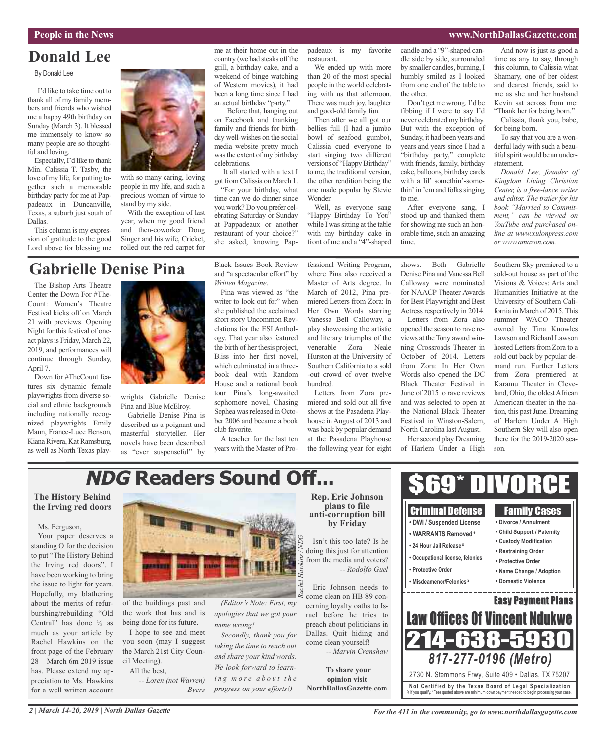#### **People in the News www.NorthDallasGazette.com**

### **Donald Lee**

#### By Donald Lee

I'd like to take time out to thank all of my family members and friends who wished me a happy 49th birthday on Sunday (March 3). It blessed me immensely to know so many people are so thoughtful and loving.

Especially, I'd like to thank Min. Calissia T. Tasby, the love of my life, for putting together such a memorable birthday party for me at Pappadeaux in Duncanville, Texas, a suburb just south of Dallas.

This column is my expression of gratitude to the good Lord above for blessing me



with so many caring, loving people in my life, and such a precious woman of virtue to stand by my side.

With the exception of last year, when my good friend and then-coworker Doug Singer and his wife, Cricket, rolled out the red carpet for

me at their home out in the country (we had steaks off the grill, a birthday cake, and a weekend of binge watching of Western movies), it had been a long time since I had an actual birthday "party."

Before that, hanging out on Facebook and thanking family and friends for birthday well-wishes on the social media website pretty much wasthe extent of my birthday celebrations.

It all started with a text I got from Calissia on March 1.

"For your birthday, what time can we do dinner since you work? Do you prefer celebrating Saturday or Sunday at Pappadeaux or another restaurant of your choice?" she asked, knowing Pappadeaux is my favorite restaurant.

We ended up with more than 20 of the most special people in the world celebrating with us that afternoon. There was much joy, laughter and good-old family fun.

Then after we all got our bellies full (I had a jumbo bowl of seafood gumbo), Calissia cued everyone to start singing two different versions of "Happy Birthday" to me, the traditional version, the other rendition being the one made popular by Stevie Wonder.

Well, as everyone sang "Happy Birthday To You" while I was sitting at the table with my birthday cake in front of me and a "4"-shaped candle and a "9"-shaped candle side by side, surrounded by smaller candles, burning, I humbly smiled as I looked from one end of the table to the other.

Don't get me wrong.I'd be fibbing if I were to say I'd never celebrated my birthday. But with the exception of Sunday, it had been years and years and years since I had a "birthday party," complete with friends, family, birthday cake, balloons, birthday cards with a lil' somethin'-somethin' in 'em and folks singing to me.

After everyone sang, I stood up and thanked them for showing me such an honorable time, such an amazing time.

And now is just as good a time as any to say, through this column, to Calissia what Shamary, one of her oldest and dearest friends, said to me as she and her husband Kevin sat across from me: "Thank her for being born."

Calissia, thank you, babe, for being born.

To say that you are a wonderful lady with such a beautiful spirit would be an understatement.

*Donald Lee, founder of Kingdom Living Christian Center, is a free-lance writer and editor. The trailer for his book "Married to Commitment," can be viewed on YouTube and purchased online at www.xulonpress.com or www.amazon.com.*

### **Gabrielle Denise Pina**

The Bishop Arts Theatre Center the Down For #The-Count: Women's Theatre Festival kicks off on March 21 with previews. Opening Night for this festival of oneact plays is Friday, March 22, 2019, and performances will continue through Sunday, April 7.

Down for #TheCount features six dynamic female playwrights from diverse social and ethnic backgrounds including nationally recognized playwrights Emily Mann, France-Luce Benson, Kiana Rivera, Kat Ramsburg, as well as North Texas play-



wrights Gabrielle Denise Pina and Blue McElroy.

Gabrielle Denise Pina is described as a poignant and masterful storyteller. Her novels have been described as "ever suspenseful" by Black Issues Book Review and "a spectacular effort" by *Written Magazine*.

Pina was viewed as "the writer to look out for" when she published the acclaimed short story Uncommon Revelations for the ESI Anthology. That year also featured the birth of her thesis project, Bliss into her first novel, which culminated in a threebook deal with Random House and a national book tour Pina's long-awaited sophomore novel, Chasing Sophea was released in October 2006 and became a book club favorite.

A teacher for the last ten years with the Master of Professional Writing Program, where Pina also received a Master of Arts degree. In March of 2012, Pina premiered Letters from Zora: In Her Own Words starring Vanessa Bell Calloway, a play showcasing the artistic and literary triumphs of the venerable Zora Neale Hurston at the University of Southern California to a sold -out crowd of over twelve hundred.

Letters from Zora premiered and sold out all five shows at the Pasadena Playhouse in August of 2013 and was back by popular demand at the Pasadena Playhouse the following year for eight

shows. Both Gabrielle Denise Pina and Vanessa Bell Calloway were nominated for NAACP Theater Awards for Best Playwright and Best Actress respectively in 2014.

Letters from Zora also opened the season to rave reviews at the Tony award winning Crossroads Theater in October of 2014. Letters from Zora: In Her Own Words also opened the DC Black Theater Festival in June of 2015 to rave reviews and was selected to open at the National Black Theater Festival in Winston-Salem, North Carolina last August.

Her second play Dreaming of Harlem Under a High

Southern Sky premiered to a sold-out house as part of the Visions & Voices: Arts and Humanities Initiative at the University of Southern California in March of 2015.This summer WACO Theater owned by Tina Knowles Lawson and Richard Lawson hosted Letters from Zora to a sold out back by popular demand run. Further Letters from Zora premiered at Karamu Theater in Cleveland, Ohio, the oldestAfrican American theater in the nation, this past June. Dreaming of Harlem Under A High Southern Sky will also open there for the 2019-2020 season.

### **NDG Readers Sound Off...**

#### **The History Behind the Irving red doors**

#### Ms. Ferguson,

Your paper deserves a standing O for the decision to put "The History Behind the Irving red doors". I have been working to bring the issue to light for years. Hopefully, my blathering about the merits of refurburshing/rebuilding "Old Central" has done ½ as much as your article by Rachel Hawkins on the front page of the February 28 – March 6m 2019 issue has. Please extend my appreciation to Ms. Hawkins for a well written account



of the buildings past and the work that has and is being done for its future.

I hope to see and meet you soon (may I suggest the March 21st City Council Meeting). All the best,

*-- Loren (not Warren) Byers*

*(Editor's Note: First, my apologies that we got your name wrong!*

*Secondly, thank you for taking the time to reach out and share your kind words. We look forward to learni n g m o r e a b o u t t h e progress on your efforts!)*

#### **Rep. Eric Johnson plans to file anti-corruption bill by Friday** *G*

Isn't this too late? Is he doing this just for attention from the media and voters? *-- Rodolfo Guel*

*Rachel Hawkins / ND*

Eric Johnson needs to come clean on HB 89 concerning loyalty oaths to Israel before he tries to preach about politicians in Dallas. Quit hiding and come clean yourself! *-- Marvin Crenshaw*

**To share your opinion visit NorthDallasGazette.com**



*For the 411 in the community, go to www.northdallasgazette.com*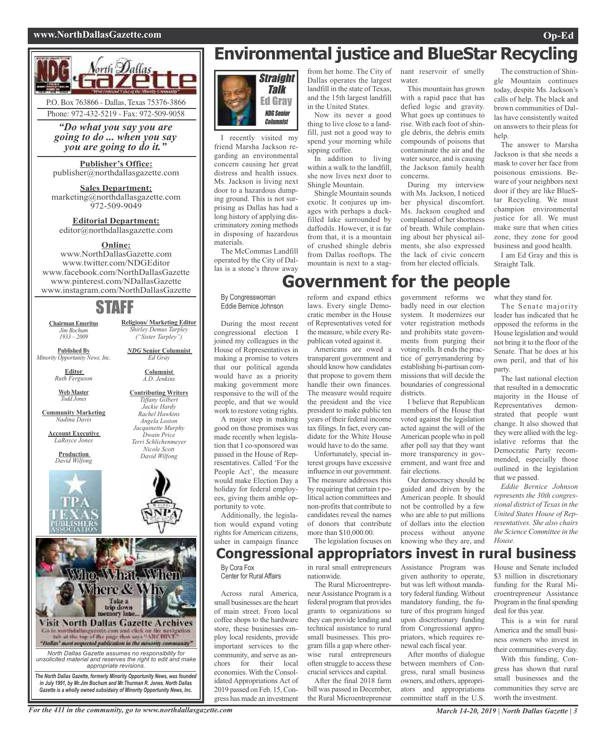#### **www.NorthDallasGazette.com Op-Ed**





*"Do what you say you are going to do ... when you say you are going to do it."*

#### **Publisher's Office:** publisher@northdallasgazette.com

**Sales Department:** marketing@northdallasgazette.com 972-509-9049

#### **Editorial Department:** editor@northdallasgazette.com

#### **Online:**

www.NorthDallasGazette.com www.twitter.com/NDGEditor www.facebook.com/NorthDallasGazette www.pinterest.com/NDallasGazette www.instagram.com/NorthDallasGazette

### STAFF

**Religious/ Marketing Editor** *Shirley Demus Tarpley ("Sister Tarpley") NDG* **Senior Columnist** *Ed Gray* **Columnist** *A.D. Jenkins* **Contributing Writers** *Tiffany Gilbert Jackie Hardy Rachel Hawkins Angela Loston Jacquinette Murphy Dwain Price Terri Schlichenmeyer Nicole Scott David Wilfong*

**Chairman Emeritus** *Jim Bochum 1933 – 2009*

**Published By** *Minority Opportunity News, Inc.*

> **Editor** *Ruth Ferguson*

**Web Master** *Todd Jones*

**Community Marketing** *Nadina Davis*

**Account Executive** *LaRoyce Jones*

> **Production** *David Wilfong*





*in July 1991, by Mr.Jim Bochum and Mr.Thurman R. Jones. North Dallas Gazette is a wholly owned subsidairy of Minority Opportunity News, Inc.*

### **Environmental justice and BlueStar Recycling**



I recently visited my friend Marsha Jackson regarding an environmental concern causing her great distress and health issues. Ms. Jackson is living next door to a hazardous dumping ground. This is not surprising as Dallas has had a long history of applying discriminatory zoning methods in disposing of hazardous materials.

The McCommas Landfill operated by the City of Dallas is a stone's throw away

By Congresswoman Eddie Bernice Johnson

During the most recent congressional election I joined my colleagues in the House of Representatives in making a promise to voters that our political agenda would have as a priority making government more responsive to the will of the people, and that we would work to restore voting rights.

A major step in making good on those promises was made recently when legislation that I co-sponsored was passed in the House of Representatives. Called 'For the People Act', the measure would make Election Day a holiday for federal employees, giving them amble opportunity to vote.

Additionally, the legislation would expand voting rights for American citizens, usher in campaign finance

from her home. The City of Dallas operates the largest landfill in the state of Texas, and the 15th largest landfill in the United States.

Now its never a good thing to live close to a landfill, just not a good way to spend your morning while sipping coffee.

In addition to living within a walk to the landfill, she now lives next door to Shingle Mountain.

Shingle Mountain sounds exotic. It conjures up images with perhaps a duckfilled lake surrounded by daffodils. However, it is far from that, it is a mountain of crushed shingle debris from Dallas rooftops. The mountain is next to a stag-

nant reservoir of smelly water.

This mountain has grown with a rapid pace that has defied logic and gravity. What goes up continues to rise. With each foot of shingle debris, the debris emits compounds of poisons that contaminate the air and the water source, and is causing the Jackson family health concerns.

During my interview with Ms. Jackson, I noticed her physical discomfort. Ms. Jackson coughed and complained of her shortness of breath. While complaining about her physical ailments, she also expressed the lack of civic concern from her elected officials.

The construction of Shingle Mountain continues today, despite Ms. Jackson's calls of help. The black and brown communities of Dallas have consistently waited on answers to their pleas for help.

The answer to Marsha Jackson is that she needs a mask to cover her face from poisonous emissions. Beware of your neighbors next door if they are like BlueStar Recycling. We must champion environmental justice for all. We must make sure that when cities zone, they zone for good business and good health.

I am Ed Gray and this is Straight Talk.

### **Government for the people**

reform and expand ethics laws. Every single Democratic member in the House of Representatives voted for the measure, while every Republican voted against it.

Americans are owed a transparent government and should know how candidates that propose to govern them handle their own finances. The measure would require the president and the vice president to make public ten years of their federal income tax filings. In fact, every candidate for the White House would have to do the same.

Unfortunately, special interest groups have excessive influence in our government. The measure addresses this by requiring that certain t political action committees and non-profits that contribute to candidates reveal the names of donors that contribute more than \$10,000.00.

The legislation focuses on

#### government reforms we badly need in our election system. It modernizes our voter registration methods and prohibits state governments from purging their voting rolls. It ends the practice of gerrymandering by establishing bi-partisan commissions that will decide the boundaries of congressional districts.

I believe that Republican members of the House that voted against the legislation acted against the will of the American people who in poll after poll say that they want more transparency in government, and want free and fair elections.

Our democracy should be guided and driven by the American people. It should not be controlled by a few who are able to put millions of dollars into the election process without anyone knowing who they are, and what they stand for.

The Senate majority leader has indicated that he opposed the reforms in the House legislation and would not bring it to the floor of the Senate. That he does at his own peril, and that of his party.

The last national election that resulted in a democratic majority in the House of Representatives demonstrated that people want change. It also showed that they were allied with the legislative reforms that the Democratic Party recommended, especially those outlined in the legislation that we passed.

*Eddie Bernice Johnson represents the 30th congressional district of Texasin the United States House of Representatives. She also chairs the Science Committee in the House.*

### **Congressional appropriators invest in rural business**

By Cora Fox Center for Rural Affairs

Across rural America, small businesses are the heart of main street. From local coffee shops to the hardware store, these businesses employ local residents, provide important services to the community, and serve as anchors for their local economies.With the Consolidated Appropriations Act of 2019 passed on Feb. 15,Congress has made an investment

in rural small entrepreneurs nationwide.

The Rural Microentrepreneur Assistance Program is a federal program that provides grants to organizations so they can provide lending and technical assistance to rural small businesses. This program fills a gap where otherwise rural entrepreneurs often struggle to access these crucial services and capital.

After the final 2018 farm bill was passed in December, the Rural Microentrepreneur

Assistance Program was given authority to operate, but was left without mandatory federal funding.Without mandatory funding, the future of this program hinged upon discretionary funding from Congressional appropriators, which requires renewal each fiscal year.

After months of dialogue between members of Congress, rural small business owners, and others, appropriators and appropriations committee staff in the U.S.

House and Senate included \$3 million in discretionary funding for the Rural Microentrepreneur Assistance Program in the final spending deal for this year.

This is a win for rural America and the small business owners who invest in their communities every day.

With this funding, Congress has shown that rural small businesses and the communities they serve are worth the investment.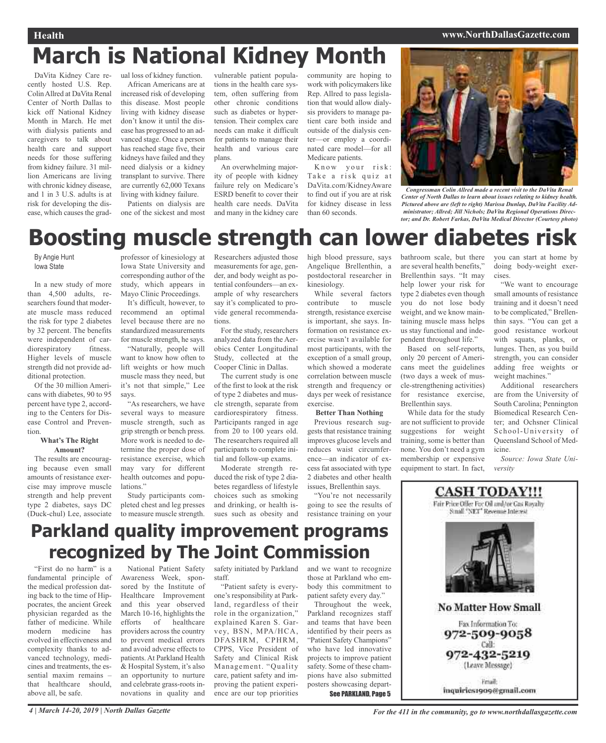#### **Health www.NorthDallasGazette.com**

### **March is National Kidney Month**

DaVita Kidney Care recently hosted U.S. Rep. ColinAllred at DaVita Renal Center of North Dallas to kick off National Kidney Month in March. He met with dialysis patients and caregivers to talk about health care and support needs for those suffering from kidney failure. 31 million Americans are living with chronic kidney disease, and 1 in 3 U.S. adults is at risk for developing the disease, which causes the grad-

ual loss of kidney function. African Americans are at increased risk of developing this disease. Most people living with kidney disease don't know it until the disease has progressed to an advanced stage. Once a person has reached stage five, their kidneys have failed and they need dialysis or a kidney transplant to survive. There are currently 62,000 Texans living with kidney failure.

Patients on dialysis are one of the sickest and most vulnerable patient populations in the health care system, often suffering from other chronic conditions such as diabetes or hypertension. Their complex care needs can make it difficult for patients to manage their health and various care plans.

An overwhelming majority of people with kidney failure rely on Medicare's ESRD benefit to cover their health care needs. DaVita and many in the kidney care community are hoping to work with policymakers like Rep. Allred to pass legislation that would allow dialysis providers to manage patient care both inside and outside of the dialysis center—or employ a coordinated care model—for all Medicare patients.

Know your risk: Take a risk quiz at DaVita.com/KidneyAware to find out if you are at risk for kidney disease in less than 60 seconds.



*Congressman Colin Allred made a recent visit to the DaVita Renal Center of North Dallas to learn about issues relating to kidney health. Pictured above are (left to right) Marissa Dunlap, DaVita Facility Administrator; Allred; Jill Nichols; DaVita Regional Operations Director; and Dr. Robert Farkas, DaVita Medical Director (Courtesy photo)*

### **Boosting muscle strength can lower diabetes risk**

By Angie Hunt Iowa State

In a new study of more than 4,500 adults, researchers found that moderate muscle mass reduced the risk for type 2 diabetes by 32 percent. The benefits were independent of cardiorespiratory fitness. Higher levels of muscle strength did not provide additional protection.

Of the 30 million Americans with diabetes, 90 to 95 percent have type 2, according to the Centers for Disease Control and Prevention.

#### **What's The Right Amount?**

The results are encouraging because even small amounts of resistance exercise may improve muscle strength and help prevent type 2 diabetes, says DC (Duck-chul) Lee, associate

professor of kinesiology at Iowa State University and corresponding author of the study, which appears in Mayo Clinic Proceedings.

It's difficult, however, to recommend an optimal level because there are no standardized measurements for muscle strength, he says.

"Naturally, people will want to know how often to lift weights or how much muscle mass they need, but it's not that simple," Lee says.

"As researchers, we have several ways to measure muscle strength, such as grip strength or bench press. More work is needed to determine the proper dose of resistance exercise, which may vary for different health outcomes and populations."

Study participants completed chest and leg presses to measure muscle strength.

Researchers adjusted those measurements for age, gender, and body weight as potential confounders—an example of why researchers say it's complicated to provide general recommendations.

For the study, researchers analyzed data from the Aerobics Center Longitudinal Study, collected at the Cooper Clinic in Dallas.

The current study is one of the first to look at the risk of type 2 diabetes and muscle strength, separate from cardiorespiratory fitness. Participants ranged in age from 20 to 100 years old. The researchers required all participants to complete initial and follow-up exams.

Moderate strength reduced the risk of type 2 diabetes regardless of lifestyle choices such as smoking and drinking, or health issues such as obesity and high blood pressure, says Angelique Brellenthin, a postdoctoral researcher in kinesiology.

While several factors contribute to muscle strength, resistance exercise is important, she says. Information on resistance exercise wasn't available for most participants, with the exception of a small group, which showed a moderate correlation between muscle strength and frequency or days per week of resistance exercise.

#### **Better Than Nothing**

Previous research suggests that resistance training improves glucose levels and reduces waist circumference—an indicator of excess fat associated with type 2 diabetes and other health issues, Brellenthin says.

"You're not necessarily going to see the results of resistance training on your

bathroom scale, but there are several health benefits," Brellenthin says. "It may help lower your risk for type 2 diabetes even though you do not lose body weight, and we know maintaining muscle mass helps us stay functional and independent throughout life."

Based on self-reports, only 20 percent of Americans meet the guidelines (two days a week of muscle-strengthening activities) for resistance exercise, Brellenthin says.

While data for the study are not sufficient to provide suggestions for weight training, some is better than none. You don't need a gym membership or expensive equipment to start. In fact, you can start at home by doing body-weight exercises.

"We want to encourage small amounts of resistance training and it doesn't need to be complicated," Brellenthin says. "You can get a good resistance workout with squats, planks, or lunges. Then, as you build strength, you can consider adding free weights or weight machines."

Additional researchers are from the University of South Carolina; Pennington Biomedical Research Center; and Ochsner Clinical School-University of Queensland School of Medicine.

*Source: Iowa State University*

### **CASH TODAY!!!**

Fair Price Offer For Oil and/or Gas Royalty Small "NET" Revenue Interest



Friall: inquiries1909@gmail.com

### **Parkland quality improvement programs recognized by The Joint Commission**

"First do no harm" is a fundamental principle of the medical profession dating back to the time of Hippocrates, the ancient Greek physician regarded as the father of medicine. While modern medicine has evolved in effectiveness and complexity thanks to advanced technology, medicines and treatments, the essential maxim remains – that healthcare should, above all, be safe.

National Patient Safety Awareness Week, sponsored by the Institute of Healthcare Improvement and this year observed March 10-16, highlights the efforts of healthcare providers across the country to prevent medical errors and avoid adverse effects to patients. At Parkland Health & Hospital System, it's also an opportunity to nurture and celebrate grass-roots innovations in quality and

safety initiated by Parkland staff.

"Patient safety is everyone's responsibility at Parkland, regardless of their role in the organization," explained Karen S. Garvey, BSN, MPA/HCA, DFASHRM, CPHRM, CPPS, Vice President of Safety and Clinical Risk Management. "Quality care, patient safety and improving the patient experience are our top priorities

and we want to recognize those at Parkland who embody this commitment to patient safety every day."

Throughout the week, Parkland recognizes staff and teams that have been identified by their peers as "Patient Safety Champions" who have led innovative projects to improve patient safety. Some of these champions have also submitted posters showcasing depart-

See PARKLAND, Page 5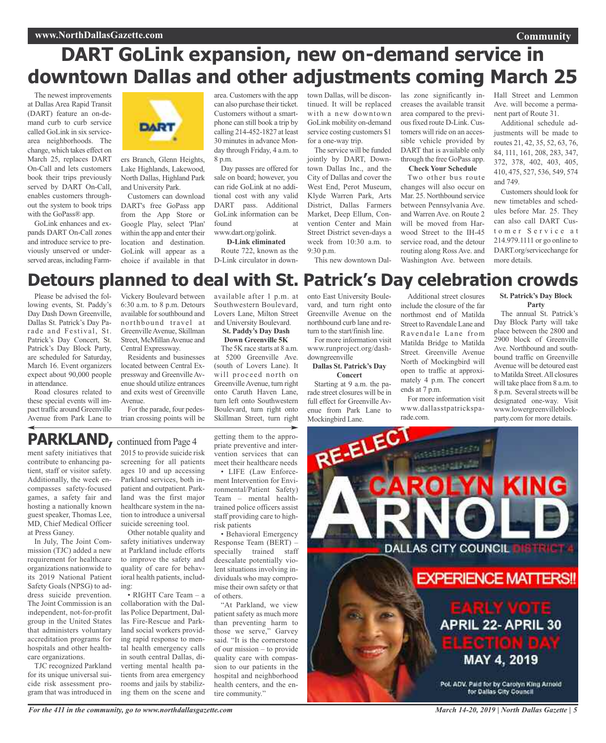### **DART GoLink expansion, new on-demand service in downtown Dallas and other adjustments coming March 25**

The newest improvements at Dallas Area Rapid Transit (DART) feature an on-demand curb to curb service called GoLink in six servicearea neighborhoods. The change, which takes effect on March 25, replaces DART On-Call and lets customers book their trips previously served by DART On-Call, enables customers throughout the system to book trips with the GoPass<sup>®</sup> app.

GoLink enhances and expands DART On-Call zones and introduce service to previously unserved or underserved areas, including Farm-



ers Branch, Glenn Heights, Lake Highlands, Lakewood, North Dallas, Highland Park and University Park.

Customers can download DART's free GoPass app from the App Store or Google Play, select 'Plan' within the app and enter their location and destination. GoLink will appear as a choice if available in that area. Customers with the app can also purchase their ticket. Customers without a smartphone can still book a trip by calling 214-452-1827 at least 30 minutes in advance Monday through Friday, 4 a.m. to 8 p.m.

Day passes are offered for sale on board; however, you can ride GoLink at no additional cost with any valid DART pass. Additional GoLink information can be  $f$ ound www.dart.org/golink.

#### **D-Link eliminated**

Route 722, known as the D-Link circulator in down-

available after 1 p.m. at Southwestern Boulevard, Lovers Lane, Milton Street and University Boulevard.

town Dallas, will be discontinued. It will be replaced with a new downtown GoLink mobility on-demand service costing customers \$1 for a one-way trip.

The service will be funded jointly by DART, Downtown Dallas Inc., and the City of Dallas and cover the West End, Perot Museum, Klyde Warren Park, Arts District, Dallas Farmers Market, Deep Ellum, Convention Center and Main Street District seven-days a week from 10:30 a.m. to 9:30 p.m. This new downtown Dalarea compared to the previousfixed route D-Link. Customers will ride on an accessible vehicle provided by DART that is available only through the free GoPass app. **Check Your Schedule**

las zone significantly increases the available transit

Two other bus route changes will also occur on Mar. 25. Northbound service between Pennsylvania Ave. and Warren Ave. on Route 2 will be moved from Harwood Street to the IH-45 service road, and the detour routing along Ross Ave. and Washington Ave. between Hall Street and Lemmon Ave. will become a permanent part of Route 31.

**Community**

Additional schedule adjustments will be made to routes 21, 42, 35, 52, 63, 76, 84, 111, 161, 208, 283, 347, 372, 378, 402, 403, 405, 410, 475, 527, 536, 549, 574 and 749.

Customers should look for new timetables and schedules before Mar. 25. They can also call DART Customer Service at 214.979.1111 or go online to DART.org/servicechange for more details.

### **Detours planned to deal with St. Patrick's Day celebration crowds**

Please be advised the following events, St. Paddy's Day Dash Down Greenville, Dallas St. Patrick's Day Parade and Festival, St. Patrick's Day Concert, St. Patrick's Day Block Party, are scheduled for Saturday, March 16. Event organizers expect about 90,000 people in attendance.

Road closures related to these special events will impact traffic around Greenville Avenue from Park Lane to

Vickery Boulevard between 6:30 a.m. to 8 p.m. Detours available for southbound and northbound travel at GreenvilleAvenue, Skillman Street, McMillan Avenue and Central Expressway.

Residents and businesses located between Central Expressway and GreenvilleAvenue should utilize entrances and exits west of Greenville Avenue.

For the parade, four pedes-

trian crossing points will be

#### **St. Paddy's Day Dash Down Greenville 5K** The 5K race starts at 8 a.m.

at 5200 Greenville Ave. (south of Lovers Lane). It will proceed north on GreenvilleAvenue, turn right onto Caruth Haven Lane, turn left onto Southwestern Boulevard, turn right onto Skillman Street, turn right

onto East University Boulevard, and turn right onto Greenville Avenue on the northbound curb lane and return to the start/finish line.

For more information visit www.runproject.org/dashdowngreenville **Dallas St. Patrick's Day**

#### **Concert**

Starting at 9 a.m. the parade street closures will be in full effect for Greenville Avenue from Park Lane to

Additional street closures include the closure of the far northmost end of Matilda Street to Ravendale Lane and Ravendale Lane from Matilda Bridge to Matilda Street. Greenville Avenue North of Mockingbird will open to traffic at approximately 4 p.m. The concert ends at 7 p.m.

For more information visit www.dallasstpatrickspa-

#### **St. Patrick's Day Block Party**

The annual St. Patrick's Day Block Party will take place between the 2800 and 2900 block of Greenville Ave. Northbound and southbound traffic on Greenville Avenue will be detoured east to Matilda Street.All closures will take place from 8 a.m. to 8 p.m. Several streets will be designated one-way. Visit www.lowergreenvilleblockparty.com for more details.

### **PARKLAND**, continued from Page 4

ment safety initiatives that contribute to enhancing patient, staff or visitor safety. Additionally, the week encompasses safety-focused games, a safety fair and hosting a nationally known guest speaker, Thomas Lee, MD, Chief Medical Officer at Press Ganey.

In July, The Joint Commission (TJC) added a new requirement for healthcare organizations nationwide to its 2019 National Patient Safety Goals (NPSG) to address suicide prevention. The Joint Commission is an independent, not-for-profit group in the United States that administers voluntary accreditation programs for hospitals and other healthcare organizations.

TJC recognized Parkland for its unique universal suicide risk assessment program that was introduced in 2015 to provide suicide risk screening for all patients ages 10 and up accessing Parkland services, both inpatient and outpatient. Parkland was the first major healthcare system in the nation to introduce a universal

suicide screening tool. Other notable quality and safety initiatives underway at Parkland include efforts to improve the safety and quality of care for behavioral health patients, including:

• RIGHT Care Team – a collaboration with the Dallas Police Department, Dallas Fire-Rescue and Parkland social workers providing rapid response to mental health emergency calls in south central Dallas, diverting mental health patients from area emergency rooms and jails by stabilizing them on the scene and getting them to the appropriate preventive and intervention services that can meet their healthcare needs

ment Intervention for Environmental/Patient Safety) Team – mental healthtrained police officers assist staff providing care to high-

• Behavioral Emergency Response Team (BERT) – specially trained staff deescalate potentially violent situations involving individuals who may compromise their own safety or that of others.

patient safety as much more than preventing harm to those we serve," Garvey said. "It is the cornerstone of our mission – to provide quality care with compassion to our patients in the hospital and neighborhood health centers, and the entire community."



risk patients

"At Parkland, we view

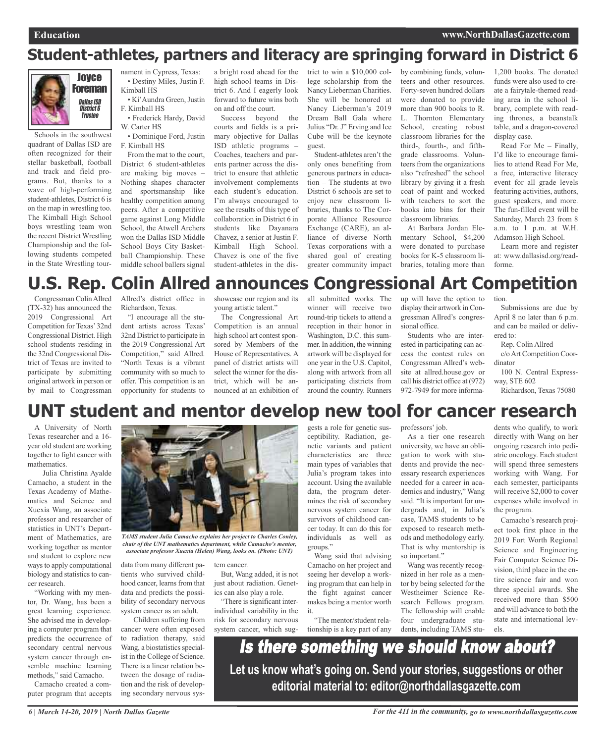### **Student-athletes, partners and literacy are springing forward in District 6**



Schools in the southwest quadrant of Dallas ISD are often recognized for their stellar basketball, football and track and field programs. But, thanks to a wave of high-performing student-athletes, District 6 is on the map in wrestling too. The Kimball High School boys wrestling team won the recent District Wrestling Championship and the following students competed in the State Wrestling tournament in Cypress, Texas: • Destiny Miles, Justin F. Kimball HS

• Ki'Aundra Green, Justin F. Kimball HS

• Frederick Hardy, David W. Carter HS

• Dominique Ford, Justin F. Kimball HS

From the mat to the court, District 6 student-athletes are making big moves – Nothing shapes character and sportsmanship like healthy competition among peers. After a competitive game against Long Middle School, the Atwell Archers won the Dallas ISD Middle School Boys City Basketball Championship. These middle school ballers signal

a bright road ahead for the high school teams in District 6. And I eagerly look forward to future wins both on and off the court.

Success beyond the courts and fields is a primary objective for Dallas ISD athletic programs – Coaches, teachers and parents partner across the district to ensure that athletic involvement complements each student's education. I'm always encouraged to see the results of this type of collaboration in District 6 in students like Dayanara Chavez, a senior at Justin F. Kimball High School. Chavez is one of the five student-athletes in the district to win a \$10,000 college scholarship from the Nancy Lieberman Charities. She will be honored at Nancy Lieberman's 2019 Dream Ball Gala where Julius "Dr. J" Erving and Ice Cube will be the keynote guest.

Student-athletes aren't the only ones benefiting from generous partners in education – The students at two District 6 schools are set to enjoy new classroom libraries, thanks to The Corporate Alliance Resource Exchange (CARE), an alliance of diverse North Texas corporations with a shared goal of creating greater community impact

by combining funds, volunteers and other resources. Forty-seven hundred dollars were donated to provide more than 900 books to R. L. Thornton Elementary School, creating robust classroom libraries for the third-, fourth-, and fifthgrade classrooms. Volunteers from the organizations also "refreshed" the school library by giving it a fresh coat of paint and worked with teachers to sort the books into bins for their classroom libraries.

At Barbara Jordan Elementary School, \$4,200 were donated to purchase books for K-5 classroom libraries, totaling more than

1,200 books. The donated funds were also used to create a fairytale-themed reading area in the school library, complete with reading thrones, a beanstalk table, and a dragon-covered display case.

Read For Me – Finally, I'd like to encourage families to attend Read For Me, a free, interactive literacy event for all grade levels featuring activities, authors, guest speakers, and more. The fun-filled event will be Saturday, March 23 from 8 a.m. to 1 p.m. at W.H. Adamson High School.

Learn more and register at: www.dallasisd.org/readforme.

#### **U.S. Rep. Colin Allred announces Congressional Art Competition** tion.

Congressman ColinAllred (TX-32) has announced the 2019 Congressional Art Competition for Texas'32nd Congressional District. High school students residing in the 32nd Congressional District of Texas are invited to participate by submitting original artwork in person or by mail to Congressman Allred's district office in Richardson, Texas.

"I encourage all the student artists across Texas' 32nd District to participate in the 2019 Congressional Art Competition," said Allred. "North Texas is a vibrant community with so much to offer. This competition is an opportunity for students to showcase our region and its young artistic talent."

The Congressional Art Competition is an annual high school art contest sponsored by Members of the House of Representatives. A panel of district artists will select the winner for the district, which will be announced at an exhibition of

all submitted works. The winner will receive two round-trip tickets to attend a reception in their honor in Washington, D.C. this summer. In addition, the winning artwork will be displayed for one year in the U.S. Capitol, along with artwork from all participating districts from around the country. Runners up will have the option to display their artwork in Congressman Allred's congressional office.

Students who are interested in participating can access the contest rules on Congressman Allred's website at allred.house.gov or call his district office at (972) 972-7949 for more informa-

Submissions are due by April 8 no later than 6 p.m. and can be mailed or delivered to:

Rep. Colin Allred

c/oArt Competition Coordinator

100 N. Central Expressway, STE 602

Richardson, Texas 75080

### **UNT student and mentor develop new tool for cancer research**

A University of North Texas researcher and a 16 year old student are working together to fight cancer with mathematics.

Julia Christina Ayalde Camacho, a student in the Texas Academy of Mathematics and Science and Xuexia Wang, an associate professor and researcher of statistics in UNT's Department of Mathematics, are working together as mentor and student to explore new ways to apply computational biology and statistics to cancer research.

"Working with my mentor, Dr. Wang, has been a great learning experience. She advised me in developing a computer program that predicts the occurrence of secondary central nervous system cancer through ensemble machine learning methods," said Camacho.

Camacho created a computer program that accepts



*TAMS student Julia Camacho explains her project to Charles Conley, chair of the UNT mathematics department, while Camacho's mentor, associate professor Xuexia (Helen) Wang, looks on. (Photo: UNT)*

data from many different patients who survived childhood cancer, learns from that data and predicts the possibility of secondary nervous system cancer as an adult.

Children suffering from cancer were often exposed to radiation therapy, said Wang, a biostatistics specialist in the College of Science. There is a linear relation between the dosage of radiation and the risk of developing secondary nervous system cancer.

But, Wang added, it is not just about radiation. Genetics can also play a role.

"There is significant interindividual variability in the risk for secondary nervous system cancer, which suggests a role for genetic susceptibility. Radiation, genetic variants and patient characteristics are three main types of variables that Julia's program takes into account. Using the available data, the program determines the risk of secondary nervous system cancer for survivors of childhood cancer today. It can do this for individuals as well as groups."

Wang said that advising Camacho on her project and seeing her develop a working program that can help in the fight against cancer makes being a mentor worth it.

"The mentor/student relationship is a key part of any professors' job.

As a tier one research university, we have an obligation to work with students and provide the necessary research experiences needed for a career in academics and industry," Wang said. "It is important for undergrads and, in Julia's case, TAMS students to be exposed to research methods and methodology early. That is why mentorship is so important."

Wang was recently recognized in her role as a mentor by being selected for the Westheimer Science Research Fellows program. The fellowship will enable four undergraduate students, including TAMS stu-

dents who qualify, to work directly with Wang on her ongoing research into pediatric oncology. Each student will spend three semesters working with Wang. For each semester, participants will receive \$2,000 to cover expenses while involved in the program.

Camacho's research project took first place in the 2019 Fort Worth Regional Science and Engineering Fair Computer Science Division, third place in the entire science fair and won three special awards. She received more than \$500 and will advance to both the state and international levels.

Is there something we should know about? **Let us know what's going on. Send your stories, suggestions or other editorial material to: editor@northdallasgazette.com**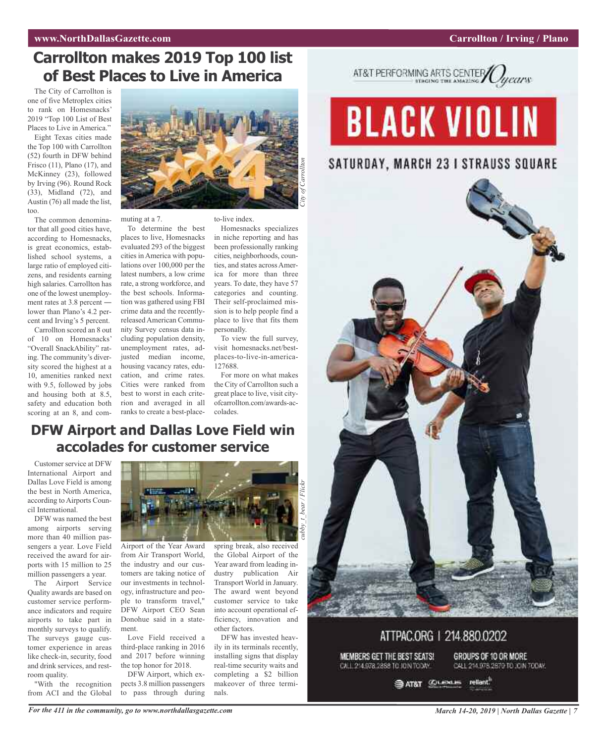#### Carrollton / Irving / Plano

### **Carrollton makes 2019 Top 100 list** of Best Places to Live in America

The City of Carrollton is one of five Metroplex cities to rank on Homesnacks' 2019 "Top 100 List of Best Places to Live in America."

Eight Texas cities made the Top 100 with Carrollton (52) fourth in DFW behind Frisco  $(11)$ , Plano  $(17)$ , and McKinney (23), followed by Irving (96). Round Rock (33), Midland (72), and Austin (76) all made the list, too

o.<br>The common denominator that all good cities have, according to Homesnacks, is great economics, established school systems, a large ratio of employed citizens, and residents earning high salaries. Carrollton has one of the lowest unemployment rates at 3.8 percent lower than Plano's 4.2 percent and Irving's 5 percent.

Carrollton scored an 8 out of 10 on Homesnacks' "Overall SnackAbility" rating. The community's diversity scored the highest at a 10, amenities ranked next with 9.5, followed by jobs and housing both at 8.5, safety and education both scoring at an 8, and com-



muting at a 7.

To determine the best places to live, Homesnacks evaluated 293 of the biggest cities in America with populations over 100,000 per the latest numbers, a low crime rate, a strong workforce, and the best schools. Information was gathered using FBI crime data and the recentlyreleased American Community Survey census data including population density, unemployment rates, adjusted median income, housing vacancy rates, education, and crime rates. Cities were ranked from best to worst in each criterion and averaged in all ranks to create a best-placeto-live index.

Homesnacks specializes in niche reporting and has been professionally ranking cities, neighborhoods, counties, and states across America for more than three years. To date, they have 57 categories and counting. Their self-proclaimed mission is to help people find a place to live that fits them personally.

To view the full survey, visit homesnacks.net/bestplaces-to-live-in-america-1 2 7 6 8 8 .

For more on what makes the City of Carrollton such a great place to live, visit cityofcarrollton.com/awards-accolades.

### **DFW Airport and Dallas Love Field win** accolades for customer service

Customer service at DFW International Airport and Dallas Love Field is among the best in North America, according to Airports Council International.

DFW was named the best among airports serving more than 40 million passengers a year. Love Field received the award for airports with 15 million to 25 million passengers a year.

The Airport Service Quality awards are based on customer service performance indicators and require airports to take part in monthly surveys to qualify. The surveys gauge customer experience in areas like check-in, security, food and drink services, and restroom quality.

"With the recognition from ACI and the Global



Airport of the Year Award from Air Transport World, the industry and our customers are taking notice of our investments in technology, infrastructure and people to transform travel," DFW Airport CEO Sean Donohue said in a statement.

Love Field received a third-place ranking in 2016 a n d 2 0 1 7 b e fo r e w i n n i n g the top honor for 2018.

DFW Airport, which expects 3.8 million passengers to pass through during

spring break, also received the Global Airport of the Year award from leading industry publication Air Transport World in January. The award went beyond customer service to take into account operational efficiency, innovation and other factors.

DFW has invested heav ily in its terminals recently, installing signs that display real-time security waits and completing a \$2 billion makeover of three termi nals.



## **BLACK VIOLIN**

### SATURDAY, MARCH 23 I STRAUSS SQUARE



ATTPAC.ORG | 214.880.0202 GROUPS OF 10 OR MORE MEMBERS GET THE BEST SEATS! CALL 214.978.2858 TO JOIN TOOAY. CALL 214.978.2879 TO JOIN TODAY.

> reliant." **SAT&T CLEME**

For the 411 in the community, go to www.northdallasgazette.com

**March 14-20, 2019 | North Dallas Gazette | 7**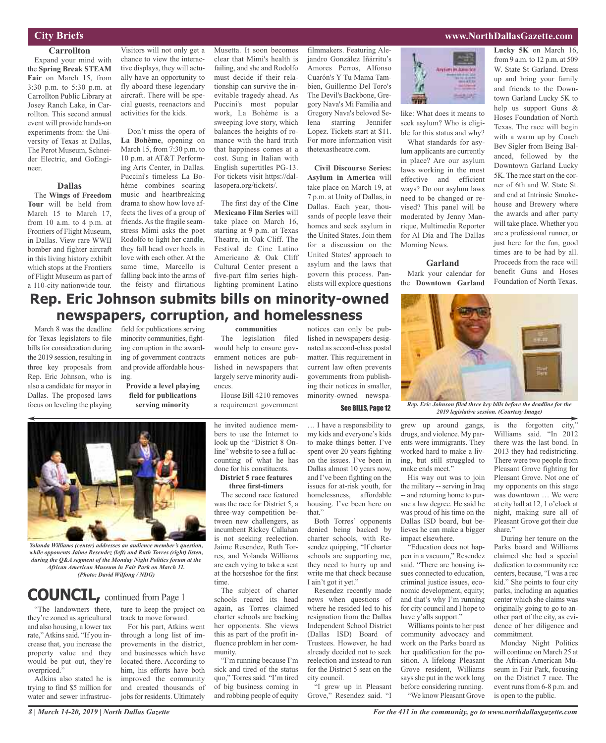#### **City Briefs**

#### **Carrollton**

Expand your mind with the **Spring Break STEAM Fair** on March 15, from 3:30 p.m. to 5:30 p.m. at Carrollton Public Library at Josey Ranch Lake, in Carrollton. This second annual event will provide hands-on experiments from: the University of Texas at Dallas, The Perot Museum, Schneider Electric, and GoEngineer.

#### **Dallas**

The **Wings of Freedom Tour** will be held from March 15 to March 17, from 10 a.m. to 4 p.m. at Frontiers of Flight Museum, in Dallas. View rare WWII bomber and fighter aircraft in this living history exhibit which stops at the Frontiers of Flight Museum as part of a 110-city nationwide tour.

March 8 was the deadline for Texas legislators to file bills for consideration during the 2019 session, resulting in three key proposals from Rep. Eric Johnson, who is also a candidate for mayor in Dallas. The proposed laws focus on leveling the playing

Visitors will not only get a chance to view the interactive displays, they will actually have an opportunity to fly aboard these legendary aircraft. There will be special guests, reenactors and activities for the kids.

Don't miss the opera of **La Bohème**, opening on March 15, from 7:30 p.m. to 10 p.m. at AT&T Performing Arts Center, in Dallas. Puccini's timeless La Bohème combines soaring music and heartbreaking drama to show how love affects the lives of a group of friends. As the fragile seamstress Mimi asks the poet Rodolfo to light her candle, they fall head over heels in love with each other. At the same time, Marcello is falling back into the arms of the feisty and flirtatious

field for publications serving minority communities, fighting corruption in the awarding of government contracts and provide affordable hous-

**Rep. Eric Johnson submits bills on minority-owned**

**newspapers, corruption, and homelessness**

**Provide a level playing field for publications serving minority**

Musetta. It soon becomes clear that Mimi's health is failing, and she and Rodolfo must decide if their relationship can survive the inevitable tragedy ahead. As Puccini's most popular work, La Bohème is a sweeping love story, which balances the heights of romance with the hard truth that happiness comes at a cost. Sung in Italian with English supertitles PG-13. For tickets visit https://dallasopera.org/tickets/.

The first day of the **Cine Mexicano Film Series** will take place on March 16, starting at 9 p.m. at Texas Theatre, in Oak Cliff. The Festival de Cine Latino Americano & Oak Cliff Cultural Center present a five-part film series highlighting prominent Latino filmmakers. Featuring Alejandro González Iñárritu's Amores Perros, Alfonso Cuarón's Y Tu Mama Tambien, Guillermo Del Toro's The Devil's Backbone, Gregory Nava's Mi Familia and Gregory Nava's beloved Selena starring Jennifer Lopez. Tickets start at \$11. For more information visit thetexastheatre.com.

**Civil Discourse Series: Asylum in America** will take place on March 19, at 7 p.m. at Unity of Dallas, in Dallas. Each year, thousands of people leave their homes and seek asylum in the United States. Join them for a discussion on the United States' approach to asylum and the laws that govern this process. Panelists will explore questions

like: What does it means to seek asylum? Who is eligible for this status and why? What standards for asy-

lum applicants are currently in place? Are our asylum laws working in the most effective and efficient ways? Do our asylum laws need to be changed or revised? This panel will be moderated by Jenny Manrique, Multimedia Reporter for Al Día and The Dallas Morning News.

#### **Garland**

Mark your calendar for the **Downtown Garland**

**Lucky 5K** on March 16, from 9 a.m. to 12 p.m. at 509 W. State St Garland. Dress up and bring your family and friends to the Downtown Garland Lucky 5K to help us support Guns & Hoses Foundation of North Texas. The race will begin with a warm up by Coach Bev Sigler from Being Balanced, followed by the Downtown Garland Lucky 5K. The race start on the corner of 6th and W. State St. and end at Intrinsic Smokehouse and Brewery where the awards and after party will take place. Whether you are a professional runner, or just here for the fun, good times are to be had by all. Proceeds from the race will benefit Guns and Hoses Foundation of North Texas.



See BILLS, Page <sup>12</sup> *Rep. Eric Johnson filed three key bills before the deadline for the 2019 legislative session. (Courtesy Image)*



ing.

*Yolanda Williams (center) addresses an audience member's question, while opponents Jaime Resendez (left) and Ruth Torres (right) listen, during the Q&A segment of the Monday Night Politics forum at the African American Museum in Fair Park on March 11. (Photo: David Wilfong / NDG)*

### **COUNCIL,** continued from Page <sup>1</sup>

"The landowners there, they're zoned as agricultural and also housing, a lower tax rate," Atkins said. "If you increase that, you increase the property value and they would be put out, they're overpriced."

Adkins also stated he is trying to find \$5 million for water and sewer infrastructure to keep the project on track to move forward.

For his part, Atkins went through a long list of improvements in the district, and businesses which have located there. According to him, his efforts have both improved the community and created thousands of jobs for residents. Ultimately

#### **communities**

The legislation filed would help to ensure government notices are published in newspapers that largely serve minority audiences.

House Bill 4210 removes a requirement government

he invited audience members to use the Internet to look up the "District 8 Online" website to see a full accounting of what he has done for his constituents.

#### **District 5 race features three first-timers**

The second race featured was the race for District 5, a three-way competition between new challengers, as incumbent Rickey Callahan is not seeking reelection. Jaime Resendez, Ruth Torres, and Yolanda Williams are each vying to take a seat at the horseshoe for the first time.

The subject of charter schools reared its head again, as Torres claimed charter schools are backing her opponents. She views this as part of the profit influence problem in her community.

"I'm running because I'm sick and tired of the status quo," Torres said. "I'm tired of big business coming in and robbing people of equity

notices can only be published in newspapers designated as second-class postal matter. This requirement in current law often prevents governments from publishing their notices in smaller, minority-owned newspa-

… I have a responsibility to my kids and everyone's kids to make things better. I've spent over 20 years fighting on the issues. I've been in Dallas almost 10 years now, and I've been fighting on the issues for at-risk youth, for homelessness, affordable housing. I've been here on

that." Both Torres' opponents denied being backed by charter schools, with Resendez quipping, "If charter schools are supporting me, they need to hurry up and write me that check because I ain't got it yet."

Resendez recently made news when questions of where he resided led to his resignation from the Dallas Independent School District (Dallas ISD) Board of Trustees. However, he had already decided not to seek reelection and instead to run for the District 5 seat on the city council.

"I grew up in Pleasant Grove," Resendez said. "I

grew up around gangs, drugs, and violence. My parents were immigrants. They worked hard to make a living, but still struggled to make ends meet."

His way out was to join the military -- serving in Iraq -- and returning home to pursue a law degree. He said he was proud of his time on the Dallas ISD board, but believes he can make a bigger impact elsewhere.

"Education does not happen in a vacuum," Resendez said. "There are housing issues connected to education, criminal justice issues, economic development, equity; and that's why I'm running for city council and I hope to have y'alls support."

Williams points to her past community advocacy and work on the Parks board as her qualification for the position. A lifelong Pleasant Grove resident, Williams says she put in the work long before considering running. "We know Pleasant Grove is the forgotten city," Williams said. "In 2012 there was the last bond. In 2013 they had redistricting. There were two people from Pleasant Grove fighting for Pleasant Grove. Not one of my opponents on this stage was downtown … We were at city hall at 12, 1 o'clock at night, making sure all of Pleasant Grove got their due share."

During her tenure on the Parks board and Williams claimed she had a special dedication to community rec centers, because, "I was a rec kid." She points to four city parks, including an aquatics center which she claims was originally going to go to another part of the city, as evidence of her diligence and commitment.

Monday Night Politics will continue on March 25 at the African-American Museum in Fair Park, focusing on the District 7 race. The event runs from 6-8 p.m. and is open to the public.

### **www.NorthDallasGazette.com**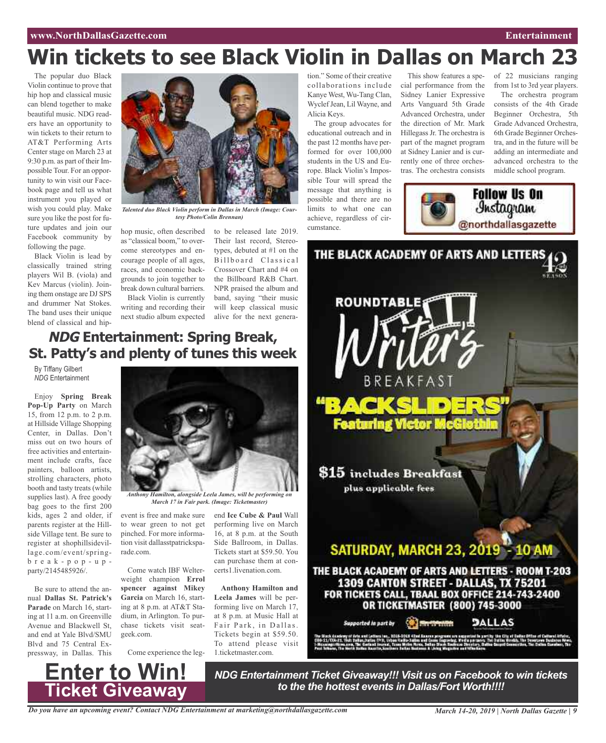### **Win tickets to see Black Violin in Dallas on March 23**

The popular duo Black Violin continue to prove that hip hop and classical music can blend together to make beautiful music. NDG readers have an opportunity to win tickets to their return to AT&T Performing Arts Center stage on March 23 at 9:30 p.m. as part of their Impossible Tour. For an opportunity to win visit our Facebook page and tell us what instrument you played or wish you could play. Make sure you like the post for future updates and join our Facebook community by following the page.

Black Violin is lead by classically trained string players Wil B. (viola) and Kev Marcus (violin). Joining them onstage are DJ SPS and drummer Nat Stokes. The band uses their unique blend of classical and hip-



*Talented duo Black Violin perform in Dallas in March (Image: Courtesy Photo/Colin Brennan)*

hop music, often described to be released late 2019. as "classical boom," to overcome stereotypes and encourage people of all ages, races, and economic backgrounds to join together to break down cultural barriers.

Black Violin is currently writing and recording their next studio album expected

Their last record, Stereotypes, debuted at #1 on the Billboard Classical Crossover Chart and #4 on the Billboard R&B Chart. NPR praised the album and band, saying "their music will keep classical music alive for the next genera-

### **NDG Entertainment: Spring Break, St. Patty's and plenty of tunes this week**

By Tiffany Gilbert *NDG* Entertainment

Enjoy **Spring Break Pop-Up Party** on March 15, from 12 p.m. to 2 p.m. at Hillside Village Shopping Center, in Dallas. Don't miss out on two hours of free activities and entertainment include crafts, face painters, balloon artists, strolling characters, photo booth and tasty treats (while supplies last). A free goody bag goes to the first 200 kids, ages 2 and older, if parents register at the Hillside Village tent. Be sure to register at shophillsidevillage.com/event/springb r e a k - p o p - u p party/2145485926/.

Be sure to attend the annual **Dallas St. Patrick's Parade** on March 16, starting at 11 a.m. on Greenville Avenue and Blackwell St, and end at Yale Blvd/SMU Blvd and 75 Central Expressway, in Dallas. This



*Anthony Hamilton, alongside Leela James, will be performing on March 17 in Fair park. (Image: Ticketmaster)*

event is free and make sure to wear green to not get pinched. For more information visit dallasstpatricksparade.com.

Come watch IBF Welterweight champion **Errol spencer against Mikey Garcia** on March 16, starting at 8 p.m. at AT&T Stadium, in Arlington. To purchase tickets visit seatgeek.com.

Come experience the leg-

**Enter to Win!**

**Ticket Giveaway**

end **Ice Cube & Paul** Wall performing live on March 16, at 8 p.m. at the South Side Ballroom, in Dallas. Tickets start at \$59.50. You can purchase them at concerts1.livenation.com.

**Anthony Hamilton and Leela James** will be performing live on March 17, at 8 p.m. at Music Hall at Fair Park, in Dallas. Tickets begin at \$59.50. To attend please visit 1.ticketmaster.com.

tion." Some of their creative collaborations include Kanye West, Wu-Tang Clan, WyclefJean, Lil Wayne, and Alicia Keys.

The group advocates for educational outreach and in the past 12 months have performed for over 100,000 students in the US and Europe. Black Violin's Impossible Tour will spread the message that anything is possible and there are no limits to what one can achieve, regardless of circumstance.

This show features a spe-of 22 musicians ranging cial performance from the Sidney Lanier Expressive Arts Vanguard 5th Grade Advanced Orchestra, under the direction of Mr. Mark HillegassJr. The orchestra is part of the magnet program at Sidney Lanier and is currently one of three orchestras. The orchestra consists



from 1st to 3rd year players. The orchestra program consists of the 4th Grade Beginner Orchestra, 5th Grade Advanced Orchestra, 6th Grade Beginner Orchestra, and in the future will be adding an intermediate and advanced orchestra to the middle school program.



*NDG Entertainment Ticket Giveaway!!! Visit us on Facebook to win tickets to the the hottest events in Dallas/Fort Worth!!!!*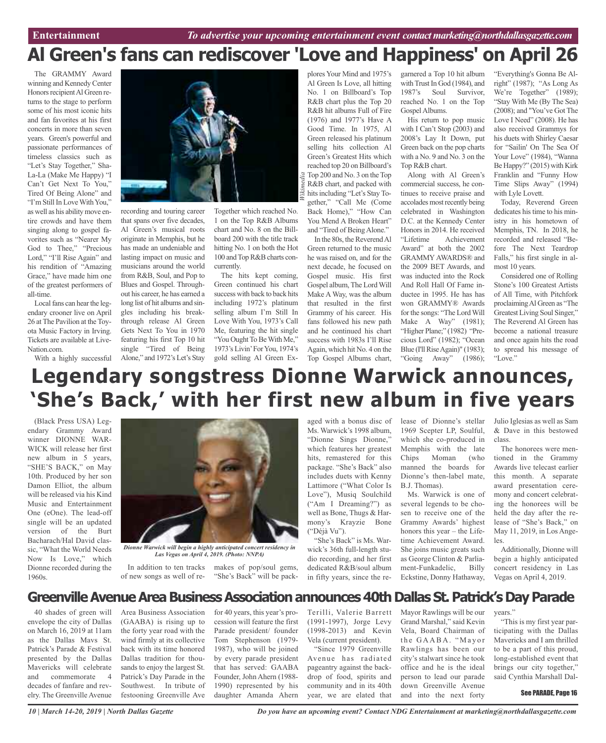### **Al Green's fans can rediscover 'Love and Happiness' on April 26**

*Wikimedia*

The GRAMMY Award winning and Kennedy Center Honors recipient Al Green returns to the stage to perform some of his most iconic hits and fan favorites at his first concerts in more than seven years. Green's powerful and passionate performances of timeless classics such as "Let's Stay Together," Sha-La-La (Make Me Happy) "I Can't Get Next To You," Tired Of Being Alone" and "I'm Still In Love With You," as well as his ability move entire crowds and have them singing along to gospel favorites such as "Nearer My God to Thee," "Precious Lord," "I'll Rise Again" and his rendition of "Amazing Grace," have made him one of the greatest performers of all-time.

Local fans can hear the legendary crooner live on April 26 at The Pavilion at the Toyota Music Factory in Irving. Tickets are available at Live-Nation.com.

With a highly successful



recording and touring career that spans over five decades, Al Green's musical roots originate in Memphis, but he has made an undeniable and lasting impact on music and musicians around the world from R&B, Soul, and Pop to Blues and Gospel. Throughout his career, he has earned a long list of hit albums and singles including his breakthrough release Al Green Gets Next To You in 1970 featuring his first Top 10 hit single "Tired of Being Alone," and 1972's Let's Stay Together which reached No. 1 on the Top R&B Albums chart and No. 8 on the Billboard 200 with the title track hitting No. 1 on both the Hot 100 and Top R&B charts concurrently.

The hits kept coming, Green continued his chart success with back to back hits including 1972's platinum selling album I'm Still In Love With You, 1973's Call Me, featuring the hit single "You Ought To Be With Me," 1973's Livin'ForYou, 1974's gold selling Al Green Ex-

plores Your Mind and 1975's Al Green Is Love, all hitting No. 1 on Billboard's Top R&B chart plus the Top 20 R&B hit albums Full of Fire (1976) and 1977's Have A Good Time. In 1975, Al Green released his platinum selling hits collection Al Green's Greatest Hits which reached top 20 on Billboard's Top 200 and No. 3 on the Top R&B chart, and packed with hits including "Let's Stay Together," "Call Me (Come Back Home)," "How Can You Mend A Broken Heart" and "Tired of Being Alone."

In the 80s, the Reverend Al Green returned to the music he was raised on, and for the next decade, he focused on Gospel music. His first Gospel album, The Lord Will Make A Way, was the album that resulted in the first Grammy of his career. His fans followed his new path and he continued his chart success with 1983s I'll Rise Again, which hit No. 4 on the Top Gospel Albums chart, garnered a Top 10 hit album with Trust In God (1984), and 1987's Soul Survivor, reached No. 1 on the Top Gospel Albums.

His return to pop music with I Can't Stop (2003) and 2008's Lay It Down, put Green back on the pop charts with a No. 9 and No. 3 on the Top R&B chart.

Along with Al Green's commercial success, he continues to receive praise and accolades most recently being celebrated in Washington D.C. at the Kennedy Center Honors in 2014. He received "Lifetime Achievement Award" at both the 2002 GRAMMYAWARDS® and the 2009 BET Awards, and was inducted into the Rock And Roll Hall Of Fame inductee in 1995. He has has won GRAMMY® Awards for the songs: "The Lord Will Make A Way" (1981); "Higher Plane;" (1982) "Precious Lord" (1982); "Ocean Blue (I'll Rise Again)" (1983); "Going Away" (1986); "Everything's Gonna Be Alright" (1987); "As Long As We're Together" (1989); "Stay With Me (By The Sea) (2008); and "You've Got The Love I Need" (2008). He has also received Grammys for his duets with Shirley Caesar for "Sailin' On The Sea Of Your Love" (1984), "Wanna Be Happy?" (2015) with Kirk Franklin and "Funny How Time Slips Away" (1994) with Lyle Lovett.

Today, Reverend Green dedicates his time to his ministry in his hometown of Memphis, TN. In 2018, he recorded and released "Before The Next Teardrop Falls," his first single in almost 10 years.

Considered one of Rolling Stone's 100 Greatest Artists of All Time, with Pitchfork proclaimingAl Green as "The Greatest Living Soul Singer," The Reverend Al Green has become a national treasure and once again hits the road to spread his message of "Love."

### **Legendary songstress Dionne Warwick announces, 'She's Back, ' with her first new album in five years**

(Black Press USA) Legendary Grammy Award winner DIONNE WAR-WICK will release her first new album in 5 years, "SHE'S BACK," on May 10th. Produced by her son Damon Elliot, the album will be released via his Kind Music and Entertainment One (eOne). The lead-off single will be an updated version of the Burt Bacharach/Hal David classic, "What the World Needs Now Is Love," which Dionne recorded during the 1960s.



*Dionne Warwick will begin a highly anticipated concert residency in Las Vegas on April 4, 2019. (Photo: NNPA)*

of new songs as well of re-

In addition to ten tracks makes of pop/soul gems, "She's Back" will be packaged with a bonus disc of Ms. Warwick's 1998 album, "Dionne Sings Dionne," which features her greatest hits, remastered for this package. "She's Back" also includes duets with Kenny Lattimore ("What Color Is Love"), Musiq Soulchild ("Am I Dreaming?") as well as Bone, Thugs & Harmony's Krayzie Bone ("Déjà Vu").

"She's Back" is Ms. Warwick's 36th full-length studio recording, and her first dedicated R&B/soul album in fifty years, since the release of Dionne's stellar 1969 Scepter LP, Soulful, which she co-produced in Memphis with the late Chips Moman (who manned the boards for Dionne's then-label mate, B.J. Thomas).

Ms. Warwick is one of several legends to be chosen to receive one of the Grammy Awards' highest honors this year – the Lifetime Achievement Award. She joins music greats such as George Clinton & Parliament-Funkadelic, Billy Eckstine, Donny Hathaway,

Julio Iglesias as well as Sam & Dave in this bestowed class.

The honorees were mentioned in the Grammy Awards live telecast earlier this month. A separate award presentation ceremony and concert celebrating the honorees will be held the day after the release of "She's Back," on May 11, 2019, in Los Angeles.

Additionally, Dionne will begin a highly anticipated concert residency in Las Vegas on April 4, 2019.

### Greenville Avenue Area Business Association announces 40th Dallas St. Patrick's Day Parade

40 shades of green will envelope the city of Dallas on March 16, 2019 at 11am as the Dallas Mavs St. Patrick's Parade & Festival presented by the Dallas Mavericks will celebrate and commemorate 4 decades of fanfare and revelry. The Greenville Avenue

Area Business Association (GAABA) is rising up to the forty year road with the wind firmly at its collective back with its time honored Dallas tradition for thousands to enjoy the largest St. Patrick's Day Parade in the Southwest. In tribute of festooning Greenville Ave

for 40 years, this year's procession will feature the first Parade president/ founder Tom Stephenson (1979- 1987), who will be joined by every parade president that has served: GAABA Founder, John Ahern (1988- 1990) represented by his daughter Amanda Ahern

Terilli, Valerie Barrett (1991-1997), Jorge Levy (1998-2013) and Kevin Vela (current president).

"Since 1979 Greenville Avenue has radiated pageantry against the backdrop of food, spirits and community and in its 40th year, we are elated that

Mayor Rawlings will be our Grand Marshal," said Kevin Vela, Board Chairman of the GAABA. "Mayor Rawlings has been our city's stalwart since he took office and he is the ideal person to lead our parade down Greenville Avenue and into the next forty

years."

"This is my first year participating with the Dallas Mavericks and I am thrilled to be a part of this proud, long-established event that brings our city together," said Cynthia Marshall Dal-

#### See PARADE, Page 16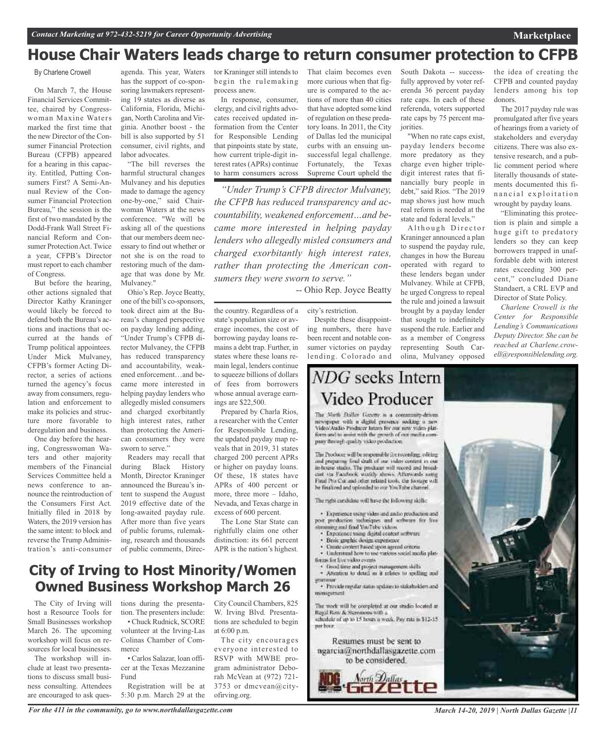### **House Chair Waters leads charge to return consumer protection to CFPB**

#### By Charlene Crowell

On March 7, the House Financial Services Committee, chaired by Congresswoman Maxine Waters marked the first time that the new Director of the Consumer Financial Protection Bureau (CFPB) appeared for a hearing in this capacity. Entitled, Putting Consumers First? A Semi-Annual Review of the Consumer Financial Protection Bureau," the session is the first of two mandated by the Dodd-Frank Wall Street Financial Reform and Consumer Protection Act. Twice a year, CFPB's Director must report to each chamber of Congress.

But before the hearing, other actions signaled that Director Kathy Kraninger would likely be forced to defend both the Bureau's actions and inactions that occurred at the hands of Trump political appointees. Under Mick Mulvaney, CFPB's former Acting Director, a series of actions turned the agency's focus away from consumers, regulation and enforcement to make its policies and structure more favorable to deregulation and business.

One day before the hearing, Congresswoman Waters and other majority members of the Financial Services Committee held a news conference to announce the reintroduction of the Consumers First Act. Initially filed in 2018 by Waters, the 2019 version has the same intent: to block and reverse the Trump Administration's anti-consumer

agenda. This year, Waters has the support of co-sponsoring lawmakers representing 19 states as diverse as California, Florida, Michigan, North Carolina and Virginia. Another boost - the bill is also supported by 51 consumer, civil rights, and labor advocates.

"The bill reverses the harmful structural changes Mulvaney and his deputies made to damage the agency one-by-one," said Chairwoman Waters at the news conference. "We will be asking all of the questions that our members deem necessary to find out whether or not she is on the road to restoring much of the damage that was done by Mr. Mulvaney."

Ohio's Rep. Joyce Beatty, one of the bill's co-sponsors, took direct aim at the Bureau's changed perspective on payday lending adding, "Under Trump's CFPB director Mulvaney, the CFPB has reduced transparency and accountability, weakened enforcement…and became more interested in helping payday lenders who allegedly misled consumers and charged exorbitantly high interest rates, rather than protecting the American consumers they were sworn to serve."

Readers may recall that during Black History Month, Director Kraninger announced the Bureau's intent to suspend the August 2019 effective date of the long-awaited payday rule. After more than five years of public forums, rulemaking, research and thousands of public comments, Direc-

tor Kraninger still intends to begin the rulemaking process anew.

In response, consumer, clergy, and civil rights advocates received updated information from the Center for Responsible Lending that pinpoints state by state, how current triple-digit interest rates (APRs) continue to harm consumers across That claim becomes even more curious when that figure is compared to the actions of more than 40 cities that have adopted some kind of regulation on these predatory loans. In 2011, the City of Dallas led the municipal curbs with an ensuing unsuccessful legal challenge. Fortunately, the Texas Supreme Court upheld the

*"Under Trump's CFPB director Mulvaney, the CFPB has reduced transparency and accountability, weakened enforcement…and became more interested in helping payday lenders who allegedly misled consumers and charged exorbitantly high interest rates, rather than protecting the American consumers they were sworn to serve."*

#### -- Ohio Rep. Joyce Beatty

the country. Regardless of a state's population size or average incomes, the cost of borrowing payday loans remains a debt trap. Further, in states where these loans remain legal, lenders continue to squeeze billions of dollars of fees from borrowers whose annual average earncity's restriction.

Prepared by Charla Rios, a researcher with the Center for Responsible Lending, the updated payday map reveals that in 2019, 31 states charged 200 percent APRs or higher on payday loans. Of these, 18 states have APRs of 400 percent or more, three more – Idaho, Nevada, and Texas charge in excess of 600 percent.

ings are \$22,500.

The Lone Star State can rightfully claim one other distinction: its 661 percent APR is the nation's highest.

### **City of Irving to Host Minority/Women Owned Business Workshop March 26**

The City of Irving will host a Resource Tools for Small Businesses workshop March 26. The upcoming workshop will focus on resources for local businesses.

The workshop will include at least two presentations to discuss small business consulting. Attendees are encouraged to ask questions during the presentation. The presenters include: • Chuck Rudnick, SCORE volunteer at the Irving-Las Colinas Chamber of Commerce

• Carlos Salazar, loan officer at the Texas Mezzanine Fund

Registration will be at 5:30 p.m. March 29 at the City Council Chambers, 825 W. Irving Blvd. Presentations are scheduled to begin at 6:00 p.m.

The city encourages everyone interested to RSVP with MWBE program administrator Deborah McVean at (972) 721- 3753 or dmcvean@cityofirving.org.

Despite these disappointing numbers, there have been recent and notable consumer victories on payday lending. Colorado and

### NDG seeks Intern Video Producer

The North Dollar Gazette is a community-driven newspaper with a digital prosence socking a new Video'Audio Producer Intam for our new video plinform and to assist with the growth of out modia company through quality video production.

The Producer will be responsible for recording, editing and preparing final draft of our video content in our in-house studio. The producer will record and broadcast via Facebook weekly shows. Afterwards using Final Pro Cor and other related tools, the footage will he finalized and uploaded to our YouTube channel

The right cardidate will have the following skills;

· Experience varior video and mallo retoduction and post production techniques and software for live treaming and find YouTube videos.

- · Experience using digital content setterine
- Basic graphic design experience
- Create circuret based upon agreed criteria · Understand how to use various social media plat-
- timus for live video events · Good time and project management skills
- · Attention to detail as it relates to spelling and
- · Provide regular status updates to stakeholders and minagement

The work will be completed at our studio located at Regal Row & Stemmons with a schedule of up to 15 hours a week. Pay rate is \$12-15. per hoor.

Resumes must be sent to ngarcia@northdallasgazette.com to be considered.



South Dakota -- successfully approved by voter referenda 36 percent payday rate caps. In each of these referenda, voters supported rate caps by 75 percent majorities.

"When no rate caps exist, payday lenders become more predatory as they charge even higher tripledigit interest rates that financially bury people in debt," said Rios. "The 2019 map shows just how much real reform is needed at the state and federal levels."

Although Director Kraninger announced a plan to suspend the payday rule, changes in how the Bureau operated with regard to these lenders began under Mulvaney. While at CFPB, he urged Congress to repeal the rule and joined a lawsuit brought by a payday lender that sought to indefinitely suspend the rule. Earlier and as a member of Congress representing South Carolina, Mulvaney opposed

the idea of creating the CFPB and counted payday lenders among his top donors.

The 2017 payday rule was promulgated after five years of hearings from a variety of stakeholders and everyday citizens. There was also extensive research, and a public comment period where literally thousands of statements documented this fin a n c i a l e x p l o i t a t i o n wrought by payday loans.

"Eliminating this protection is plain and simple a huge gift to predatory lenders so they can keep borrowers trapped in unaffordable debt with interest rates exceeding 300 percent," concluded Diane Standaert, a CRL EVP and Director of State Policy.

*Charlene Crowell is the Center for Responsible Lending's Communications Deputy Director. She can be reached at Charlene.crowell@responsiblelending.org.*

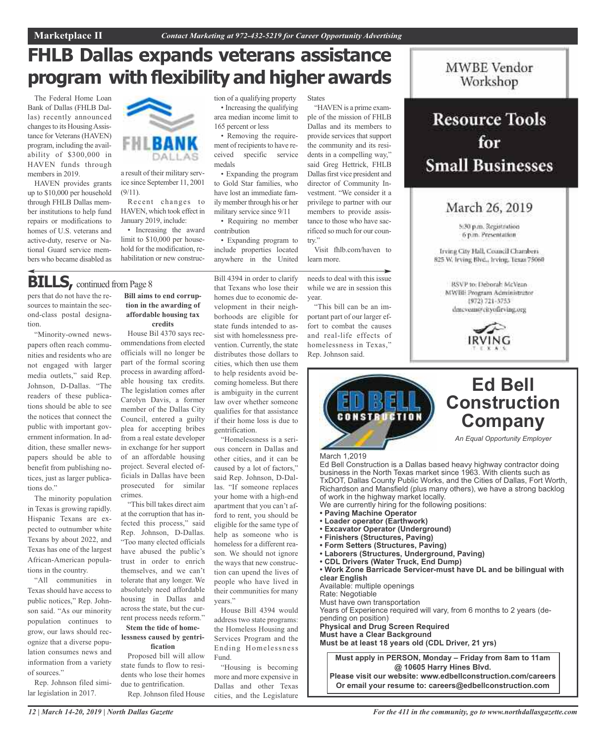### **FHLB Dallas expands veterans assistance program with flexibility and higher awards**

The Federal Home Loan Bank of Dallas (FHLB Dallas) recently announced changesto its HousingAssistance for Veterans (HAVEN) program, including the availability of \$300,000 in HAVEN funds through members in 2019.

HAVEN provides grants up to \$10,000 per household through FHLB Dallas member institutions to help fund repairs or modifications to homes of U.S. veterans and active-duty, reserve or National Guard service members who became disabled as



a result of their military service since September 11, 2001  $(9/11)$ .

Recent changes to HAVEN, which took effect in January 2019, include:

• Increasing the award limit to \$10,000 per household for the modification, rehabilitation or new construc-

#### tion of a qualifying property • Increasing the qualifying States

area median income limit to 165 percent or less

• Removing the requirement of recipients to have received specific service medals

• Expanding the program to Gold Star families, who have lost an immediate family member through his or her military service since 9/11

• Requiring no member contribution

• Expanding program to include properties located anywhere in the United

Bill 4394 in order to clarify that Texans who lose their homes due to economic development in their neighborhoods are eligible for

"HAVEN is a prime example of the mission of FHLB Dallas and its members to provide services that support the community and its residents in a compelling way," said Greg Hettrick, FHLB Dallas first vice president and director of Community Investment. "We consider it a privilege to partner with our members to provide assistance to those who have sacrificed so much for our country."

Visit fhlb.com/haven to learn more.

needs to deal with this issue while we are in session this year.

"This bill can be an important part of our larger effort to combat the causes and real-life effects of homelessness in Texas," Rep. Johnson said.



### **Resource Tools** for **Small Businesses**

### March 26, 2019

5:30 p.m. Registration 6 p.m. Presentation

Irving City Hall, Council Chambers 825 W. Irving Blvd., Irving, Texas 75060

RSVP to: Deborah McVean MWBE Program Administrator 1972) 721-3753 dmcvenn@cityofirving.org





**Or email your resume to: careers@edbellconstruction.com**

### **BILLS**, continued from Page 8

pers that do not have the resources to maintain the second-class postal designation.

"Minority-owned newspapers often reach communities and residents who are not engaged with larger media outlets," said Rep. Johnson, D-Dallas. "The readers of these publications should be able to see the notices that connect the public with important government information. In addition, these smaller newspapers should be able to benefit from publishing notices, just as larger publications do."

The minority population in Texas is growing rapidly. Hispanic Texans are expected to outnumber white Texans by about 2022, and Texas has one of the largest African-American populations in the country.

"All communities in Texas should have access to public notices," Rep. Johnson said. "As our minority population continues to grow, our laws should recognize that a diverse population consumes news and information from a variety of sources."

Rep. Johnson filed similar legislation in 2017.

**Bill aims to end corruption in the awarding of affordable housing tax credits**

House Bil 4370 says recommendations from elected officials will no longer be part of the formal scoring process in awarding affordable housing tax credits. The legislation comes after Carolyn Davis, a former member of the Dallas City Council, entered a guilty plea for accepting bribes from a real estate developer in exchange for her support of an affordable housing project. Several elected officials in Dallas have been prosecuted for similar crimes.

"This bill takes direct aim at the corruption that has infected this process," said Rep. Johnson, D-Dallas. "Too many elected officials have abused the public's trust in order to enrich themselves, and we can't tolerate that any longer. We absolutely need affordable housing in Dallas and across the state, but the current process needs reform."

#### **Stem the tide of homelessness caused by gentrification**

Proposed bill will allow state funds to flow to residents who lose their homes due to gentrification.

Rep. Johnson filed House

state funds intended to assist with homelessness prevention. Currently, the state distributes those dollars to cities, which then use them to help residents avoid becoming homeless. But there is ambiguity in the current law over whether someone

qualifies for that assistance if their home loss is due to gentrification. "Homelessness is a serious concern in Dallas and other cities, and it can be caused by a lot of factors," said Rep. Johnson, D-Dallas. "If someone replaces your home with a high-end

apartment that you can't afford to rent, you should be eligible for the same type of help as someone who is homeless for a different reason. We should not ignore the ways that new construction can upend the lives of people who have lived in their communities for many years."

> House Bill 4394 would address two state programs: the Homeless Housing and Services Program and the Ending Homelessness Fund.

> "Housing is becoming more and more expensive in Dallas and other Texas cities, and the Legislature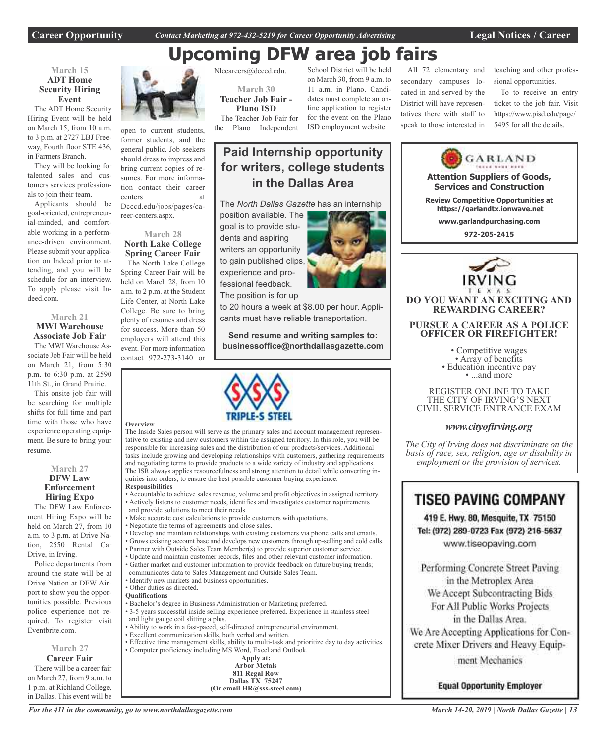**Career Opportunity** *Contact Marketing at 972-432-5219 for Career Opportunity Advertising* **Legal Notices / Career**

Nlccareers@dcccd.edu.

**March 30 Teacher Job Fair - Plano ISD** The Teacher Job Fair for the Plano Independent

#### School District will be held All 72 elementary and **Upcoming DFW area job fairs**

#### **March 15 ADT Home Security Hiring Event**

The ADT Home Security Hiring Event will be held on March 15, from 10 a.m. to 3 p.m. at 2727 LBJ Freeway, Fourth floor STE 436, in Farmers Branch.

They will be looking for talented sales and customers services professionals to join their team.

Applicants should be goal-oriented, entrepreneurial-minded, and comfortable working in a performance-driven environment. Please submit your application on Indeed prior to attending, and you will be schedule for an interview. To apply please visit Indeed.com.

#### **March 21 MWI Warehouse Associate Job Fair**

The MWI Warehouse Associate Job Fair will be held on March 21, from 5:30 p.m. to 6:30 p.m. at 2590 11th St., in Grand Prairie.

This onsite job fair will be searching for multiple shifts for full time and part time with those who have experience operating equipment. Be sure to bring your resume.

#### **March 27 DFW Law**

#### **Enforcement Hiring Expo**

The DFW Law Enforcement Hiring Expo will be held on March 27, from 10 a.m. to 3 p.m. at Drive Nation, 2550 Rental Car Drive, in Irving.

Police departments from around the state will be at Drive Nation at DFW Airport to show you the opportunities possible. Previous police experience not required. To register visit Eventbrite.com.

#### **March 27 Career Fair**

There will be a career fair on March 27, from 9 a.m. to 1 p.m. at Richland College, in Dallas. This event will be



open to current students, former students, and the general public. Job seekers should dress to impress and bring current copies of resumes. For more information contact their career centers at Dcccd.edu/jobs/pages/career-centers.aspx.

#### **March 28 North Lake College Spring Career Fair**

The North Lake College Spring Career Fair will be held on March 28, from 10 a.m. to 2 p.m. at the Student Life Center, at North Lake College. Be sure to bring plenty of resumes and dress for success. More than 50 employers will attend this event. For more information contact 972-273-3140 or

#### **Overview**

The Inside Sales person will serve as the primary sales and account management representative to existing and new customers within the assigned territory. In this role, you will be responsible for increasing sales and the distribution of our products/services. Additional tasks include growing and developing relationships with customers, gathering requirements and negotiating terms to provide products to a wide variety of industry and applications. The ISR always applies resourcefulness and strong attention to detail while converting inquiries into orders, to ensure the best possible customer buying experience.

**Responsibilities**

- Accountable to achieve sales revenue, volume and profit objectives in assigned territory. • Actively listens to customer needs, identifies and investigates customer requirements and provide solutions to meet their needs.
- Make accurate cost calculations to provide customers with quotations.
- Negotiate the terms of agreements and close sales.
- Develop and maintain relationships with existing customers via phone calls and emails.
- Grows existing account base and develops new customers through up-selling and cold calls.
- Partner with Outside Sales Team Member(s) to provide superior customer service.
- Update and maintain customer records, files and other relevant customer information.
- Gather market and customer information to provide feedback on future buying trends;
- communicates data to Sales Management and Outside Sales Team.
- Identify new markets and business opportunities. • Other duties as directed.

#### **Qualifications**

- Bachelor's degree in Business Administration or Marketing preferred.
- 3-5 years successful inside selling experience preferred. Experience in stainless steel and light gauge coil slitting a plus.
- Ability to work in a fast-paced, self-directed entrepreneurial environment.
- Excellent communication skills, both verbal and written.
- Effective time management skills, ability to multi-task and prioritize day to day activities. • Computer proficiency including MS Word, Excel and Outlook.

| iing MS Word, Excel and Outloc |
|--------------------------------|
| Apply at:                      |
| <b>Arbor Metals</b>            |
| 811 Regal Row                  |
| <b>Dallas TX 75247</b>         |
| (Or email $HR@sss$ -steel.com) |

**Paid Internship opportunity for writers, college students in the Dallas Area** The *North Dallas Gazette* has an internship

position available. The goal is to provide students and aspiring writers an opportunity to gain published clips, experience and professional feedback. The position is for up

to 20 hours a week at \$8.00 per hour. Applicants must have reliable transportation.

**Send resume and writing samples to: businessoffice@northdallasgazette.com**



#### 11 a.m. in Plano. Candidates must complete an online application to register for the event on the Plano secondary campuses located in and served by the District will have representatives there with staff to speak to those interested in

teaching and other professional opportunities.

To to receive an entry ticket to the job fair. Visit https://www.pisd.edu/page/ 5495 for all the details.



### **TISEO PAVING COMPANY**

419 E. Hwy. 80, Mesquite, TX 75150 Tel: (972) 289-0723 Fax (972) 216-5637 www.tiseopaving.com

Performing Concrete Street Paving in the Metroplex Area We Accept Subcontracting Bids For All Public Works Projects in the Dallas Area. We Are Accepting Applications for Con-

crete Mixer Drivers and Heavy Equip-

ment Mechanics

**Equal Opportunity Employer** 



on March 30, from 9 a.m. to

ISD employment website.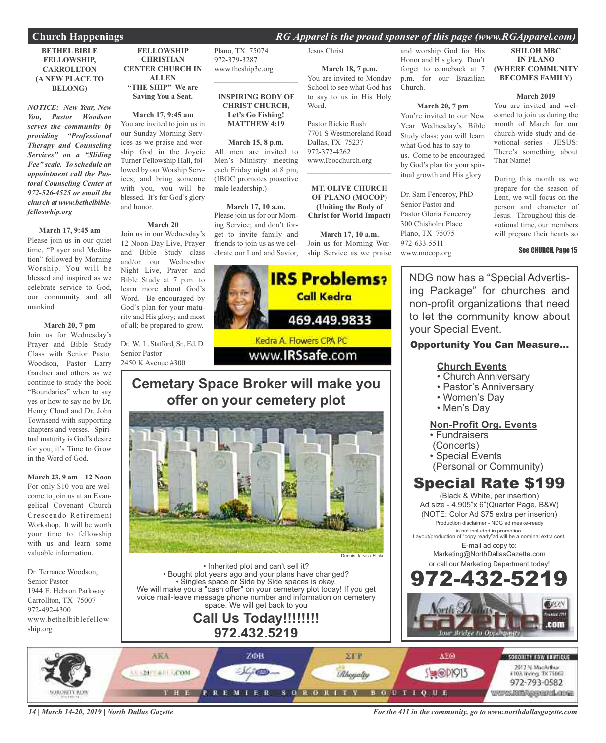#### **Church Happenings** *RG Apparel is the proud sponser of this page (www.RGApparel.com)*

#### **BETHEL BIBLE FELLOWSHIP, CARROLLTON (A NEW PLACE TO BELONG)**

*NOTICE: New Year, New You, Pastor Woodson serves the community by providing "Professional Therapy and Counseling Services" on a "Sliding Fee" scale. To schedule an appointment call the Pastoral Counseling Center at 972-526-4525 or email the church at www.bethelbiblefelloswhip.org*

#### **March 17, 9:45 am**

Please join us in our quiet time, "Prayer and Meditation" followed by Morning Worship. You will be blessed and inspired as we celebrate service to God, our community and all mankind.

#### **March 20, 7 pm**

Join us for Wednesday's Prayer and Bible Study Class with Senior Pastor Woodson, Pastor Larry Gardner and others as we continue to study the book "Boundaries" when to say yes or how to say no by Dr. Henry Cloud and Dr. John Townsend with supporting chapters and verses. Spiritual maturity is God's desire for you; it's Time to Grow in the Word of God.

**March 23, 9 am – 12 Noon** For only \$10 you are welcome to join us at an Evangelical Covenant Church Crescendo Retirement Workshop. It will be worth your time to fellowship with us and learn some valuable information.

Dr. Terrance Woodson, Senior Pastor 1944 E. Hebron Parkway Carrollton, TX 75007 972-492-4300 www.bethelbiblefellowship.org

#### **FELLOWSHIP CHRISTIAN CENTER CHURCH IN ALLEN "THE SHIP" We are Saving You a Seat.**

**March 17, 9:45 am** You are invited to join us in our Sunday Morning Services as we praise and worship God in the Joycie Turner Fellowship Hall, followed by our Worship Services; and bring someone with you, you will be blessed. It's for God's glory and honor.

#### **March 20**

Join us in our Wednesday's 12 Noon-Day Live, Prayer and Bible Study class and/or our Wednesday Night Live, Prayer and Bible Study at 7 p.m. to learn more about God's Word. Be encouraged by God's plan for your maturity and His glory; and most of all; be prepared to grow.

Dr. W. L. Stafford, Sr., Ed. D. Senior Pastor 2450 K Avenue #300

Plano, TX 75074 972-379-3287 www.theship3c.org

#### **INSPIRING BODY OF CHRIST CHURCH, Let's Go Fishing! MATTHEW 4:19**

 $\overline{\phantom{a}}$  , and the set of the set of the set of the set of the set of the set of the set of the set of the set of the set of the set of the set of the set of the set of the set of the set of the set of the set of the s

#### **March 15, 8 p.m.**

All men are invited to Men's Ministry meeting each Friday night at 8 pm, (IBOC promotes proactive male leadership.)

#### **March 17, 10 a.m.**

Please join us for our Morning Service; and don't forget to invite family and friends to join us as we celebrate our Lord and Savior,

#### Jesus Christ.

**March 18, 7 p.m.** You are invited to Monday School to see what God has to say to us in His Holy Word.

Pastor Rickie Rush 7701 S Westmoreland Road Dallas, TX 75237 972-372-4262 www.Ibocchurch.org  $\mathcal{L}$  , and the set of the set of the set of the set of the set of the set of the set of the set of the set of the set of the set of the set of the set of the set of the set of the set of the set of the set of the set

**MT. OLIVE CHURCH OF PLANO (MOCOP) (Uniting the Body of Christ for World Impact)**

**March 17, 10 a.m.**

Join us for Morning Worship Service as we praise and worship God for His Honor and His glory. Don't forget to comeback at 7 p.m. for our Brazilian Church.

#### **March 20, 7 pm**

You're invited to our New Year Wednesday's Bible Study class; you will learn what God has to say to us. Come to be encouraged by God's plan for your spiritual growth and His glory.

Dr. Sam Fenceroy, PhD Senior Pastor and Pastor Gloria Fenceroy 300 Chisholm Place Plano, TX 75075 972-633-5511 www.mocop.org

**SHILOH MBC IN PLANO (WHERE COMMUNITY BECOMES FAMILY)**

#### **March 2019**

You are invited and welcomed to join us during the month of March for our church-wide study and devotional series - JESUS: There's something about That Name!

During this month as we prepare for the season of Lent, we will focus on the person and character of Jesus. Throughout this devotional time, our members will prepare their hearts so

#### See CHURCH, Page 15

NDG now has a "Special Advertising Package" for churches and non-profit organizations that need to let the community know about your Special Event.

#### Opportunity You Can Measure...

#### **Church Events**

- Church Anniversary
- Pastor's Anniversary
- Women's Day
- Men's Day

#### **Non-Profit Org. Events**

- Fundraisers
- (Concerts)
- Special Events
- (Personal or Community)

### Special Rate \$199

(Black & White, per insertion) Ad size - 4.905"x 6"(Quarter Page, B&W) (NOTE: Color Ad \$75 extra per inserion) Production disclaimer - NDG ad meake-ready is not included in promotion.

Layout/production of "copy ready"ad will be a nominal extra cost. E-mail ad copy to:

> Marketing@NorthDallasGazette.com or call our Marketing Department today!



ARA **STP** ΔΣΘ ZΦB SORORITY NOW BOUTFQUE 2012 N. MacArthur<br>#103. Irving. 7X 75062 11-20-7-4-11-LCOM 78W **Ahoyaly SHOPPIS** 972-793-0582 SORORITY www.Biblipperchare THE **REMIER**  $B$  O  $U$  T  $I$  Q  $U$  E

*14 | March 14-20, 2019 | North Dallas Gazette*

*For the 411 in the community, go to www.northdallasgazette.com*



# **offer on your cemetery plot**



• Inherited plot and can't sell it? • Bought plot years ago and your plans have changed? • Singles space or Side by Side spaces is okay. We will make you a "cash offer" on your cemetery plot today! If you get voice mail-leave message phone number and information on cemetery space. We will get back to you

### **Call Us Today!!!!!!!! 972.432.5219**

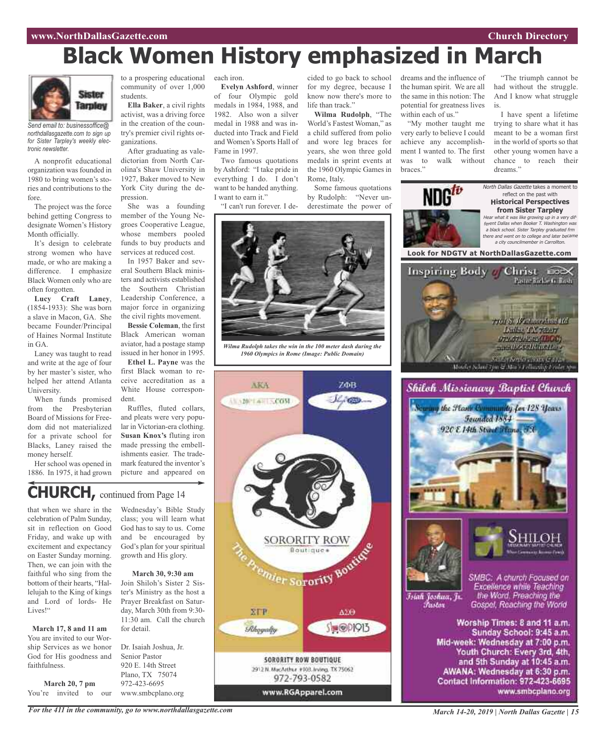### **Black Women History emphasized in March**



*Send email to: businessoffice@ northdallasgazette.com to sign up for Sister Tarpley's weekly electronic newsletter.*

A nonprofit educational organization was founded in 1980 to bring women's stories and contributions to the fore.

The project was the force behind getting Congress to designate Women's History Month officially.

It's design to celebrate strong women who have made, or who are making a difference. I emphasize Black Women only who are often forgotten.

**Lucy Craft Laney**, (1854-1933): She was born a slave in Macon, GA. She became Founder/Principal of Haines Normal Institute in GA.

Laney was taught to read and write at the age of four by her master's sister, who helped her attend Atlanta **University** 

When funds promised from the Presbyterian Board of Missions for Freedom did not materialized for a private school for Blacks, Laney raised the money herself.

Her school was opened in 1886. In 1975, it had grown

to a prospering educational each iron. community of over 1,000 students.

**Ella Baker**, a civil rights activist, was a driving force in the creation of the country's premier civil rights organizations.

After graduating as valedictorian from North Carolina's Shaw University in 1927, Baker moved to New York City during the depression.

She was a founding member of the Young Negroes Cooperative League, whose members pooled funds to buy products and services at reduced cost.

In 1957 Baker and several Southern Black ministers and activists established the Southern Christian Leadership Conference, a major force in organizing the civil rights movement.

**Bessie Coleman**, the first Black American woman aviator, had a postage stamp issued in her honor in 1995.

**Ethel L. Payne** was the first Black woman to receive accreditation as a White House correspondent.

Ruffles, fluted collars, and pleats were very popular in Victorian-era clothing. **Susan Knox's** fluting iron made pressing the embellishments easier. The trademark featured the inventor's picture and appeared on

### **CHURCH,** continued from Page <sup>14</sup>

that when we share in the celebration of Palm Sunday, sit in reflection on Good Friday, and wake up with excitement and expectancy on Easter Sunday morning. Then, we can join with the faithful who sing from the bottom of their hearts, "Hallelujah to the King of kings and Lord of lords- He Lives!"

**March 17, 8 and 11 am** You are invited to our Worship Services as we honor God for His goodness and faithfulness.

**March 20, 7 pm** You're invited to our Wednesday's Bible Study class; you will learn what God has to say to us. Come and be encouraged by God's plan for your spiritual growth and His glory.

**March 30, 9:30 am** Join Shiloh's Sister 2 Sister's Ministry as the host a Prayer Breakfast on Saturday, March 30th from 9:30- 11:30 am. Call the church for detail.

Dr. Isaiah Joshua, Jr. Senior Pastor 920 E. 14th Street Plano, TX 75074 972-423-6695 www.smbcplano.org

**Evelyn Ashford**, winner of four Olympic gold medals in 1984, 1988, and 1982. Also won a silver medal in 1988 and was inducted into Track and Field and Women's Sports Hall of Fame in 1997.

Two famous quotations by Ashford: "I take pride in everything I do. I don't want to be handed anything. I want to earn it."

"I can't run forever. I de-

cided to go back to school for my degree, because I know now there's more to life than track"

**Wilma Rudolph**, "The World's Fastest Woman," as a child suffered from polio and wore leg braces for years, she won three gold medals in sprint events at the 1960 Olympic Games in Rome, Italy.

Some famous quotations by Rudolph: "Never underestimate the power of



*Wilma Rudolph takes the win in the 100 meter dash during the 1960 Olympics in Rome (Image: Public Domain)*





"My mother taught me very early to believe I could achieve any accomplishment I wanted to. The first was to walk without braces."

"The triumph cannot be had without the struggle. And I know what struggle is.

I have spent a lifetime trying to share what it has meant to be a woman first in the world of sports so that other young women have a chance to reach their dreams.'



*For the 411 in the community, go to www.northdallasgazette.com*

*March 14-20, 2019 | North Dallas Gazette | 15*